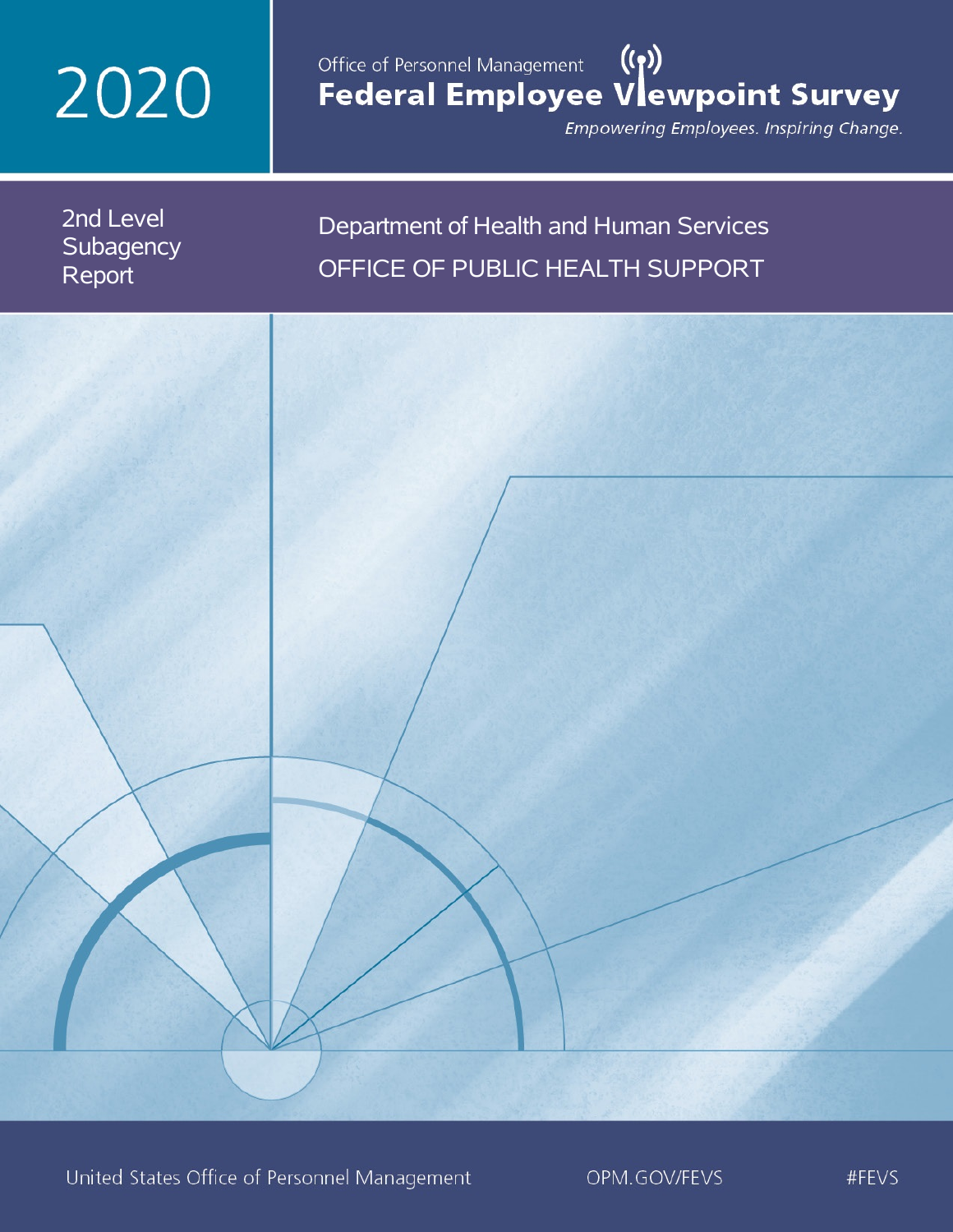# 2020

## Office of Personnel Management (())<br>Federal Employee Vlewpoint Survey

Empowering Employees. Inspiring Change.

2nd Level **Subagency** Report

## Department of Health and Human Services OFFICE OF PUBLIC HEALTH SUPPORT

United States Office of Personnel Management

OPM.GOV/FEVS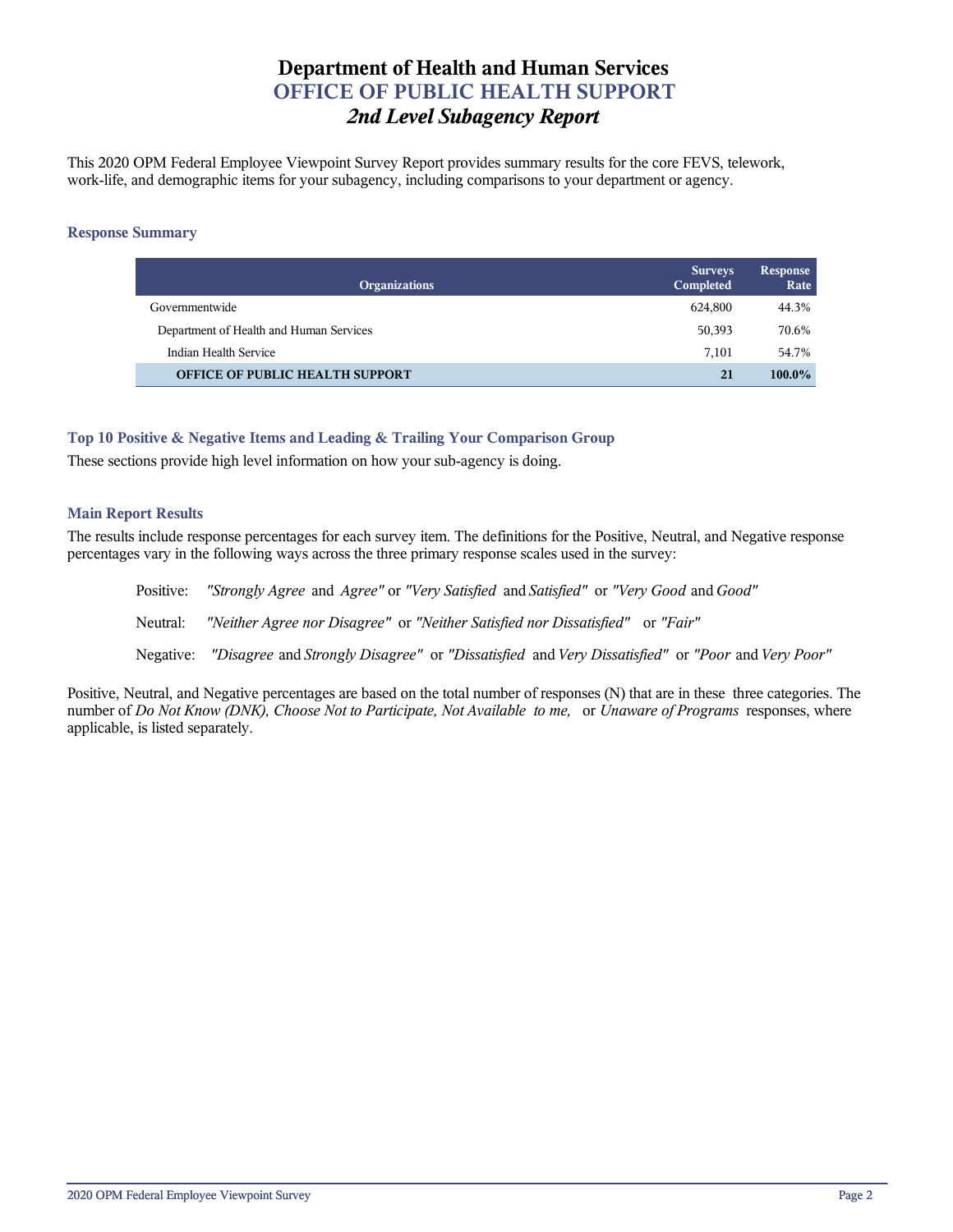## **Department of Health and Human Services OFFICE OF PUBLIC HEALTH SUPPORT** *2nd Level Subagency Report*

This 2020 OPM Federal Employee Viewpoint Survey Report provides summary results for the core FEVS, telework, work-life, and demographic items for your subagency, including comparisons to your department or agency.

#### **Response Summary**

| <b>Organizations</b>                    | <b>Surveys</b><br>Completed | Response<br>Rate |
|-----------------------------------------|-----------------------------|------------------|
| Governmentwide                          | 624,800                     | 44.3%            |
| Department of Health and Human Services | 50,393                      | 70.6%            |
| Indian Health Service                   | 7.101                       | 54.7%            |
| <b>OFFICE OF PUBLIC HEALTH SUPPORT</b>  | 21                          | $100.0\%$        |

#### **Top 10 Positive & Negative Items and Leading & Trailing Your Comparison Group**

These sections provide high level information on how your sub-agency is doing.

#### **Main Report Results**

The results include response percentages for each survey item. The definitions for the Positive, Neutral, and Negative response percentages vary in the following ways across the three primary response scales used in the survey:

Positive: *"Strongly Agree* and *Agree"* or *"Very Satisfied* and *Satisfied"* or *"Very Good* and *Good"* Neutral: *"Neither Agree nor Disagree"* or *"Neither Satisfied nor Dissatisfied"* or *"Fair"* Negative: *"Disagree* and *Strongly Disagree"* or *"Dissatisfied* and *Very Dissatisfied"* or *"Poor* and *Very Poor"*

Positive, Neutral, and Negative percentages are based on the total number of responses (N) that are in these three categories. The number of *Do Not Know (DNK), Choose Not to Participate, Not Available to me,* or *Unaware of Programs* responses, where applicable, is listed separately.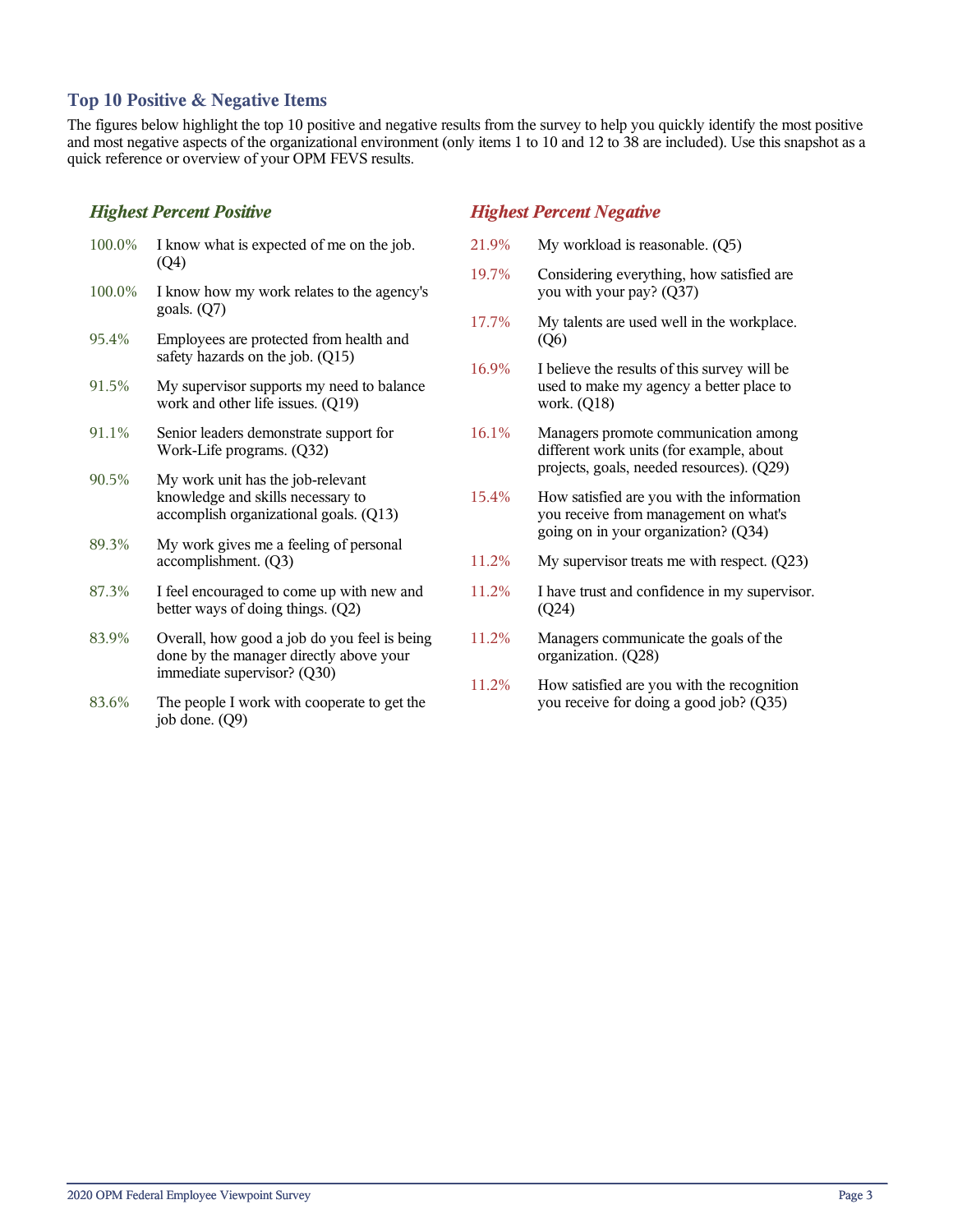#### **Top 10 Positive & Negative Items**

The figures below highlight the top 10 positive and negative results from the survey to help you quickly identify the most positive and most negative aspects of the organizational environment (only items 1 to 10 and 12 to 38 are included). Use this snapshot as a quick reference or overview of your OPM FEVS results.

#### *Highest Percent Positive*

| 100.0% | I know what is expected of me on the job.<br>(Q4)                                                                      |
|--------|------------------------------------------------------------------------------------------------------------------------|
| 100.0% | I know how my work relates to the agency's<br>goals. $(Q7)$                                                            |
| 95.4%  | Employees are protected from health and<br>safety hazards on the job. (Q15)                                            |
| 91.5%  | My supervisor supports my need to balance<br>work and other life issues. (Q19)                                         |
| 91.1%  | Senior leaders demonstrate support for<br>Work-Life programs. (Q32)                                                    |
| 90.5%  | My work unit has the job-relevant<br>knowledge and skills necessary to<br>accomplish organizational goals. (Q13)       |
| 89.3%  | My work gives me a feeling of personal<br>accomplishment. (Q3)                                                         |
| 87.3%  | I feel encouraged to come up with new and<br>better ways of doing things. (Q2)                                         |
| 83.9%  | Overall, how good a job do you feel is being<br>done by the manager directly above your<br>immediate supervisor? (Q30) |
| 83.6%  | The people I work with cooperate to get the<br>job done. (Q9)                                                          |

#### *Highest Percent Negative*

- 21.9% My workload is reasonable. (Q5)
- 19.7% Considering everything, how satisfied are you with your pay? (Q37)
- 17.7% My talents are used well in the workplace. (Q6)
- 16.9% I believe the results of this survey will be used to make my agency a better place to work. (Q18)
- 16.1% Managers promote communication among different work units (for example, about projects, goals, needed resources). (Q29)
- 15.4% How satisfied are you with the information you receive from management on what's going on in your organization? (Q34)
- 11.2% My supervisor treats me with respect. (Q23)
- 11.2% I have trust and confidence in my supervisor. (Q24)
- 11.2% Managers communicate the goals of the organization. (Q28)
- 11.2% How satisfied are you with the recognition you receive for doing a good job? (Q35)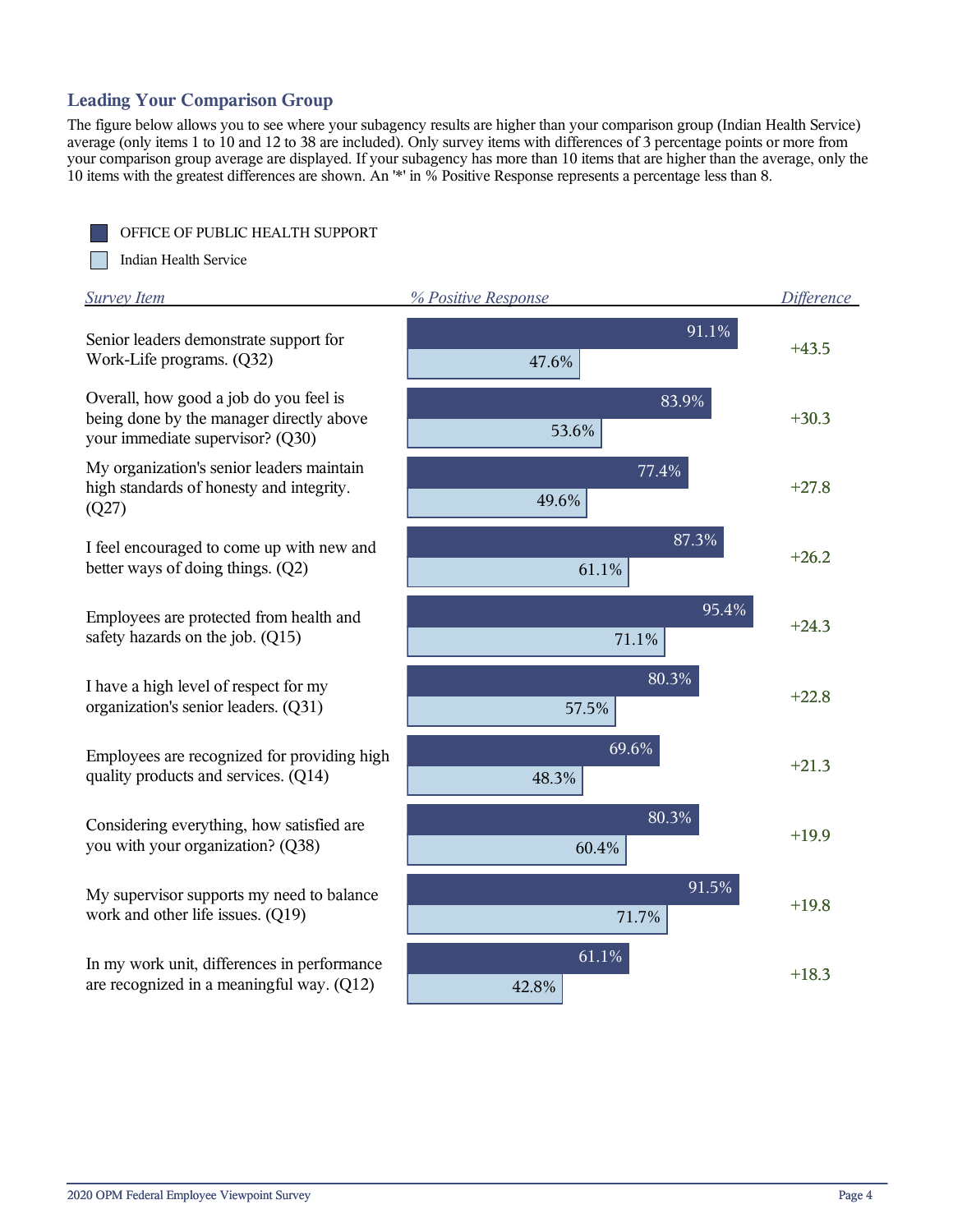## **Leading Your Comparison Group**

The figure below allows you to see where your subagency results are higher than your comparison group (Indian Health Service) average (only items 1 to 10 and 12 to 38 are included). Only survey items with differences of 3 percentage points or more from your comparison group average are displayed. If your subagency has more than 10 items that are higher than the average, only the 10 items with the greatest differences are shown. An '\*' in % Positive Response represents a percentage less than 8.

OFFICE OF PUBLIC HEALTH SUPPORT

m Indian Health Service

| <b>Survey Item</b>                                                                                                     | % Positive Response | Difference |
|------------------------------------------------------------------------------------------------------------------------|---------------------|------------|
| Senior leaders demonstrate support for<br>Work-Life programs. (Q32)                                                    | 91.1%<br>47.6%      | $+43.5$    |
| Overall, how good a job do you feel is<br>being done by the manager directly above<br>your immediate supervisor? (Q30) | 83.9%<br>53.6%      | $+30.3$    |
| My organization's senior leaders maintain<br>high standards of honesty and integrity.<br>(Q27)                         | 77.4%<br>49.6%      | $+27.8$    |
| I feel encouraged to come up with new and<br>better ways of doing things. (Q2)                                         | 87.3%<br>61.1%      | $+26.2$    |
| Employees are protected from health and<br>safety hazards on the job. (Q15)                                            | 95.4%<br>71.1%      | $+24.3$    |
| I have a high level of respect for my<br>organization's senior leaders. (Q31)                                          | 80.3%<br>57.5%      | $+22.8$    |
| Employees are recognized for providing high<br>quality products and services. (Q14)                                    | 69.6%<br>48.3%      | $+21.3$    |
| Considering everything, how satisfied are<br>you with your organization? (Q38)                                         | 80.3%<br>60.4%      | $+19.9$    |
| My supervisor supports my need to balance<br>work and other life issues. (Q19)                                         | 91.5%<br>71.7%      | $+19.8$    |
| In my work unit, differences in performance<br>are recognized in a meaningful way. (Q12)                               | 61.1%<br>42.8%      | $+18.3$    |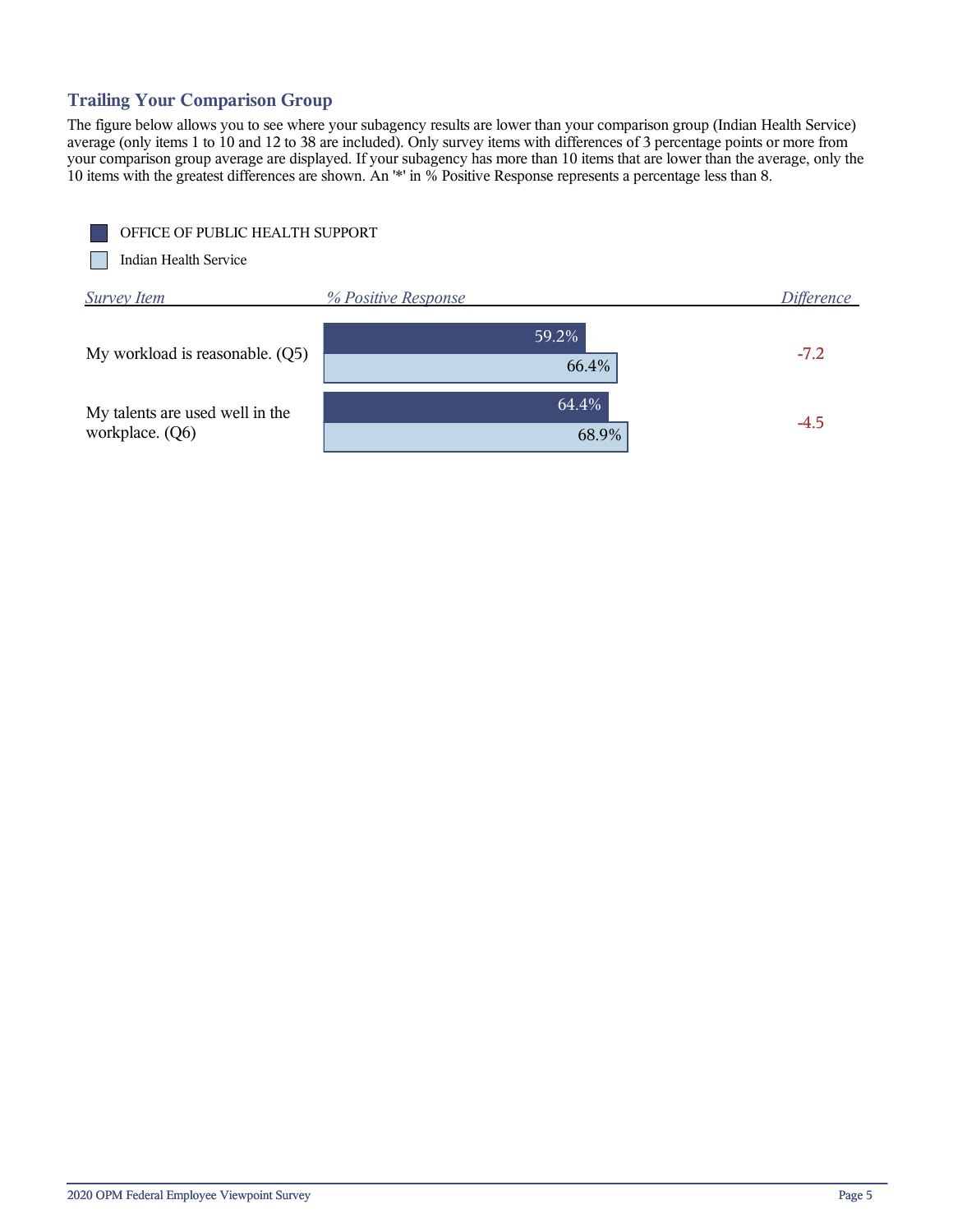## **Trailing Your Comparison Group**

The figure below allows you to see where your subagency results are lower than your comparison group (Indian Health Service) average (only items 1 to 10 and 12 to 38 are included). Only survey items with differences of 3 percentage points or more from your comparison group average are displayed. If your subagency has more than 10 items that are lower than the average, only the 10 items with the greatest differences are shown. An '\*' in % Positive Response represents a percentage less than 8.

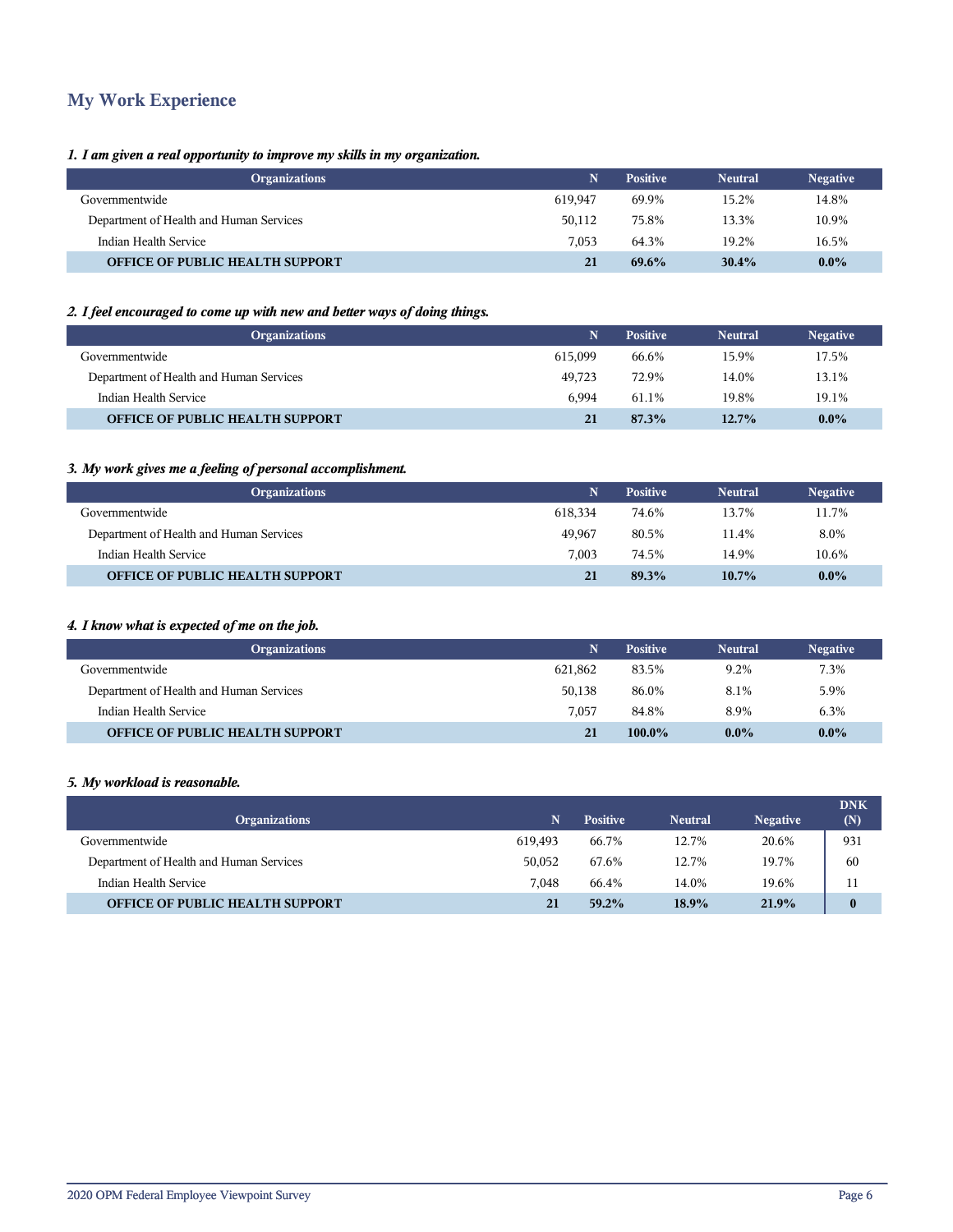## **My Work Experience**

#### *1. I am given a real opportunity to improve my skills in my organization.*

| <b>Organizations</b>                    | N       | <b>Positive</b> | <b>Neutral</b> | <b>Negative</b> |
|-----------------------------------------|---------|-----------------|----------------|-----------------|
| Governmentwide                          | 619.947 | 69.9%           | 15.2%          | 14.8%           |
| Department of Health and Human Services | 50,112  | 75.8%           | 13.3%          | 10.9%           |
| Indian Health Service                   | 7.053   | 64.3%           | 19.2%          | 16.5%           |
| <b>OFFICE OF PUBLIC HEALTH SUPPORT</b>  | 21      | $69.6\%$        | 30.4%          | $0.0\%$         |

#### *2. I feel encouraged to come up with new and better ways of doing things.*

| <b>Organizations</b>                    | N       | <b>Positive</b> | <b>Neutral</b> | <b>Negative</b> |
|-----------------------------------------|---------|-----------------|----------------|-----------------|
| Governmentwide                          | 615.099 | 66.6%           | 15.9%          | 17.5%           |
| Department of Health and Human Services | 49.723  | 72.9%           | 14.0%          | 13.1%           |
| Indian Health Service                   | 6.994   | 61.1%           | 19.8%          | 19.1%           |
| <b>OFFICE OF PUBLIC HEALTH SUPPORT</b>  | 21      | 87.3%           | 12.7%          | $0.0\%$         |

#### *3. My work gives me a feeling of personal accomplishment.*

| <b>Organizations</b>                    | N       | <b>Positive</b> | <b>Neutral</b> | <b>Negative</b> |
|-----------------------------------------|---------|-----------------|----------------|-----------------|
| Governmentwide                          | 618.334 | 74.6%           | 13.7%          | 11.7%           |
| Department of Health and Human Services | 49.967  | 80.5%           | 11.4%          | 8.0%            |
| Indian Health Service                   | 7.003   | 74.5%           | 14.9%          | 10.6%           |
| <b>OFFICE OF PUBLIC HEALTH SUPPORT</b>  | 21      | 89.3%           | $10.7\%$       | $0.0\%$         |

#### *4. I know what is expected of me on the job.*

| <b>Organizations</b>                    | N       | <b>Positive</b> | <b>Neutral</b> | <b>Negative</b> |
|-----------------------------------------|---------|-----------------|----------------|-----------------|
| Governmentwide                          | 621.862 | 83.5%           | 9.2%           | 7.3%            |
| Department of Health and Human Services | 50.138  | 86.0%           | 8.1%           | 5.9%            |
| Indian Health Service                   | 7.057   | 84.8%           | 8.9%           | 6.3%            |
| <b>OFFICE OF PUBLIC HEALTH SUPPORT</b>  | 21      | 100.0%          | $0.0\%$        | $0.0\%$         |

#### *5. My workload is reasonable.*

| <b>Organizations</b>                    |         | <b>Positive</b> | <b>Neutral</b> | <b>Negative</b> | <b>DNK</b><br>(N) |
|-----------------------------------------|---------|-----------------|----------------|-----------------|-------------------|
| Governmentwide                          | 619.493 | 66.7%           | 12.7%          | 20.6%           | 931               |
| Department of Health and Human Services | 50,052  | 67.6%           | 12.7%          | 19.7%           | 60                |
| Indian Health Service                   | 7.048   | 66.4%           | 14.0%          | 19.6%           | 11                |
| <b>OFFICE OF PUBLIC HEALTH SUPPORT</b>  | 21      | $59.2\%$        | 18.9%          | 21.9%           | $\bf{0}$          |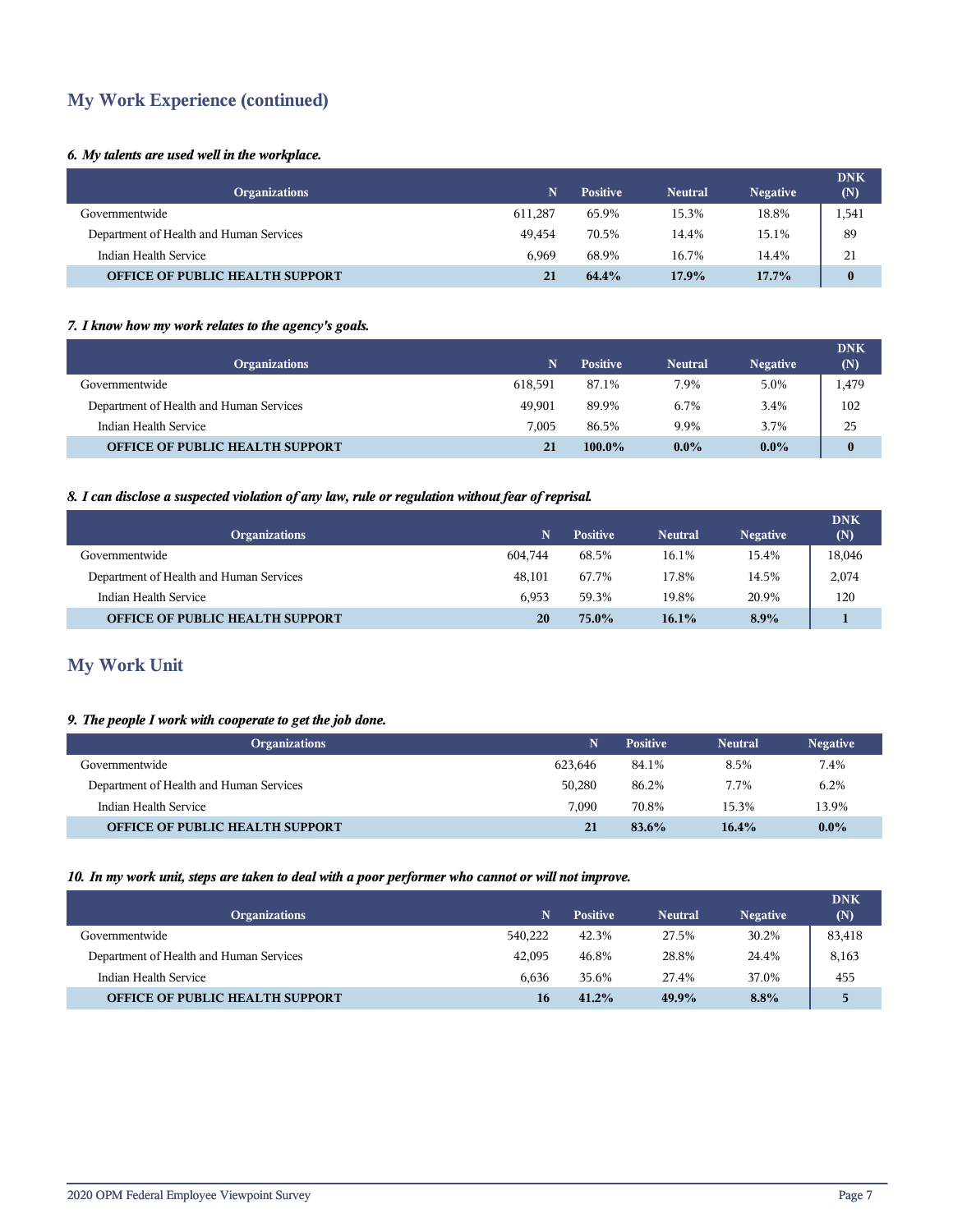## **My Work Experience (continued)**

#### *6. My talents are used well in the workplace.*

| <b>Organizations</b>                    | N       | <b>Positive</b> | <b>Neutral</b> | <b>Negative</b> | <b>DNK</b><br>(N) |
|-----------------------------------------|---------|-----------------|----------------|-----------------|-------------------|
| Governmentwide                          | 611.287 | 65.9%           | 15.3%          | 18.8%           | 1,541             |
| Department of Health and Human Services | 49.454  | 70.5%           | 14.4%          | 15.1%           | 89                |
| Indian Health Service                   | 6.969   | 68.9%           | 16.7%          | 14.4%           | 21                |
| <b>OFFICE OF PUBLIC HEALTH SUPPORT</b>  | 21      | 64.4%           | 17.9%          | $17.7\%$        | $\bf{0}$          |

#### *7. I know how my work relates to the agency's goals.*

| <b>Organizations</b>                    | N       | <b>Positive</b> | <b>Neutral</b> | <b>Negative</b> | <b>DNK</b><br>(N) |
|-----------------------------------------|---------|-----------------|----------------|-----------------|-------------------|
| Governmentwide                          | 618.591 | 87.1%           | 7.9%           | 5.0%            | 1,479             |
| Department of Health and Human Services | 49.901  | 89.9%           | 6.7%           | 3.4%            | 102               |
| Indian Health Service                   | 7.005   | 86.5%           | 9.9%           | 3.7%            | 25                |
| <b>OFFICE OF PUBLIC HEALTH SUPPORT</b>  | 21      | $100.0\%$       | $0.0\%$        | $0.0\%$         | $\bf{0}$          |

#### *8. I can disclose a suspected violation of any law, rule or regulation without fear of reprisal.*

| <b>Organizations</b>                    | N.      | <b>Positive</b> | <b>Neutral</b> | <b>Negative</b> | <b>DNK</b><br>(N) |
|-----------------------------------------|---------|-----------------|----------------|-----------------|-------------------|
| Governmentwide                          | 604.744 | 68.5%           | 16.1%          | 15.4%           | 18,046            |
| Department of Health and Human Services | 48.101  | 67.7%           | 17.8%          | 14.5%           | 2,074             |
| Indian Health Service                   | 6.953   | 59.3%           | 19.8%          | 20.9%           | 120               |
| <b>OFFICE OF PUBLIC HEALTH SUPPORT</b>  | 20      | $75.0\%$        | $16.1\%$       | $8.9\%$         |                   |

## **My Work Unit**

#### *9. The people I work with cooperate to get the job done.*

| <b>Organizations</b>                    | N       | <b>Positive</b> | <b>Neutral</b> | <b>Negative</b> |
|-----------------------------------------|---------|-----------------|----------------|-----------------|
| Governmentwide                          | 623.646 | 84.1%           | 8.5%           | 7.4%            |
| Department of Health and Human Services | 50.280  | 86.2%           | 7.7%           | 6.2%            |
| Indian Health Service                   | 7.090   | 70.8%           | 15.3%          | 13.9%           |
| <b>OFFICE OF PUBLIC HEALTH SUPPORT</b>  | 21      | 83.6%           | $16.4\%$       | $0.0\%$         |

#### *10. In my work unit, steps are taken to deal with a poor performer who cannot or will not improve.*

| <b>Organizations</b>                    |         | <b>Positive</b> | <b>Neutral</b> | <b>Negative</b> | <b>DNK</b><br>(N) |
|-----------------------------------------|---------|-----------------|----------------|-----------------|-------------------|
| Governmentwide                          | 540,222 | 42.3%           | 27.5%          | 30.2%           | 83,418            |
| Department of Health and Human Services | 42,095  | 46.8%           | 28.8%          | 24.4%           | 8,163             |
| Indian Health Service                   | 6.636   | 35.6%           | 27.4%          | 37.0%           | 455               |
| <b>OFFICE OF PUBLIC HEALTH SUPPORT</b>  | 16      | $41.2\%$        | 49.9%          | $8.8\%$         | 5                 |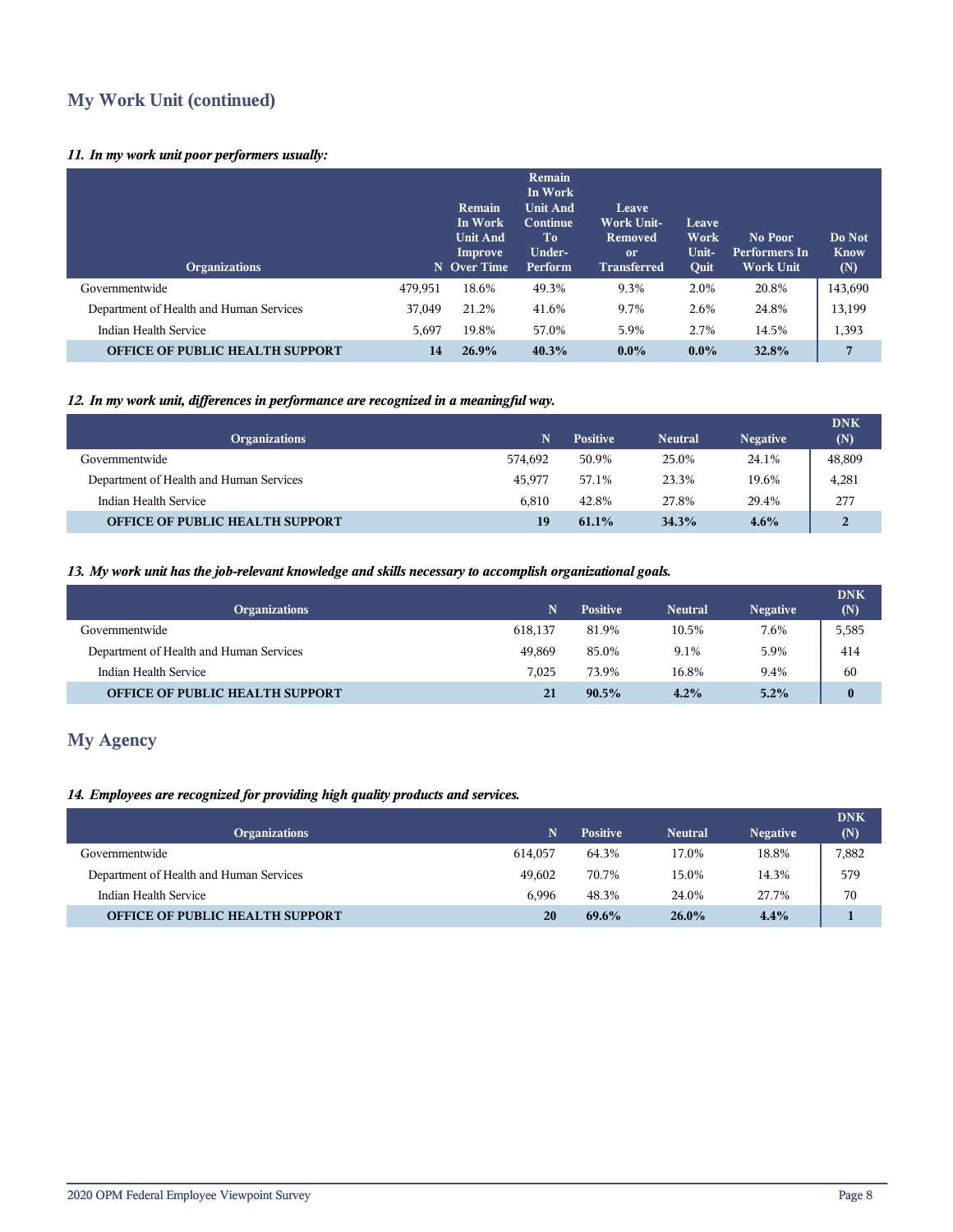## **My Work Unit (continued)**

#### *11. In my work unit poor performers usually:*

| <b>Organizations</b>                    |         | Remain<br>In Work<br><b>Unit And</b><br>Improve<br>N Over Time | Remain<br>In Work<br><b>Unit And</b><br>Continue<br>To<br>Under-<br>Perform | Leave<br><b>Work Unit-</b><br>Removed<br><sub>or</sub><br><b>Transferred</b> | Leave<br>Work<br>Unit-<br>Quit | No Poor<br><b>Performers In</b><br><b>Work Unit</b> | Do Not<br><b>Know</b><br>(N) |
|-----------------------------------------|---------|----------------------------------------------------------------|-----------------------------------------------------------------------------|------------------------------------------------------------------------------|--------------------------------|-----------------------------------------------------|------------------------------|
| Governmentwide                          | 479,951 | 18.6%                                                          | 49.3%                                                                       | 9.3%                                                                         | 2.0%                           | 20.8%                                               | 143,690                      |
| Department of Health and Human Services | 37,049  | 21.2%                                                          | 41.6%                                                                       | 9.7%                                                                         | 2.6%                           | 24.8%                                               | 13,199                       |
| Indian Health Service                   | 5,697   | 19.8%                                                          | 57.0%                                                                       | 5.9%                                                                         | 2.7%                           | 14.5%                                               | 1,393                        |
| <b>OFFICE OF PUBLIC HEALTH SUPPORT</b>  | 14      | 26.9%                                                          | 40.3%                                                                       | $0.0\%$                                                                      | $0.0\%$                        | 32.8%                                               | 7                            |

#### *12. In my work unit, differences in performance are recognized in a meaningful way.*

| <b>Organizations</b>                    |         | <b>Positive</b> | <b>Neutral</b> | <b>Negative</b> | <b>DNK</b><br>(N) |
|-----------------------------------------|---------|-----------------|----------------|-----------------|-------------------|
| Governmentwide                          | 574.692 | 50.9%           | 25.0%          | 24.1%           | 48,809            |
| Department of Health and Human Services | 45.977  | 57.1%           | 23.3%          | 19.6%           | 4,281             |
| Indian Health Service                   | 6.810   | 42.8%           | 27.8%          | 29.4%           | 277               |
| <b>OFFICE OF PUBLIC HEALTH SUPPORT</b>  | 19      | $61.1\%$        | 34.3%          | $4.6\%$         | $\overline{2}$    |

#### *13. My work unit has the job-relevant knowledge and skills necessary to accomplish organizational goals.*

| <b>Organizations</b>                    | 'N.     | <b>Positive</b> | <b>Neutral</b> | <b>Negative</b> | <b>DNK</b><br>(N) |
|-----------------------------------------|---------|-----------------|----------------|-----------------|-------------------|
| Governmentwide                          | 618.137 | 81.9%           | 10.5%          | 7.6%            | 5,585             |
| Department of Health and Human Services | 49.869  | 85.0%           | 9.1%           | 5.9%            | 414               |
| Indian Health Service                   | 7.025   | 73.9%           | 16.8%          | 9.4%            | 60                |
| <b>OFFICE OF PUBLIC HEALTH SUPPORT</b>  | 21      | $90.5\%$        | 4.2%           | 5.2%            | $\bf{0}$          |

## **My Agency**

#### *14. Employees are recognized for providing high quality products and services.*

| <b>Organizations</b>                    | N       | <b>Positive</b> | <b>Neutral</b> | <b>Negative</b> | <b>DNK</b><br>(N) |
|-----------------------------------------|---------|-----------------|----------------|-----------------|-------------------|
| Governmentwide                          | 614.057 | 64.3%           | 17.0%          | 18.8%           | 7,882             |
| Department of Health and Human Services | 49.602  | 70.7%           | 15.0%          | 14.3%           | 579               |
| Indian Health Service                   | 6.996   | 48.3%           | 24.0%          | 27.7%           | 70                |
| <b>OFFICE OF PUBLIC HEALTH SUPPORT</b>  | 20      | 69.6%           | $26.0\%$       | 4.4%            |                   |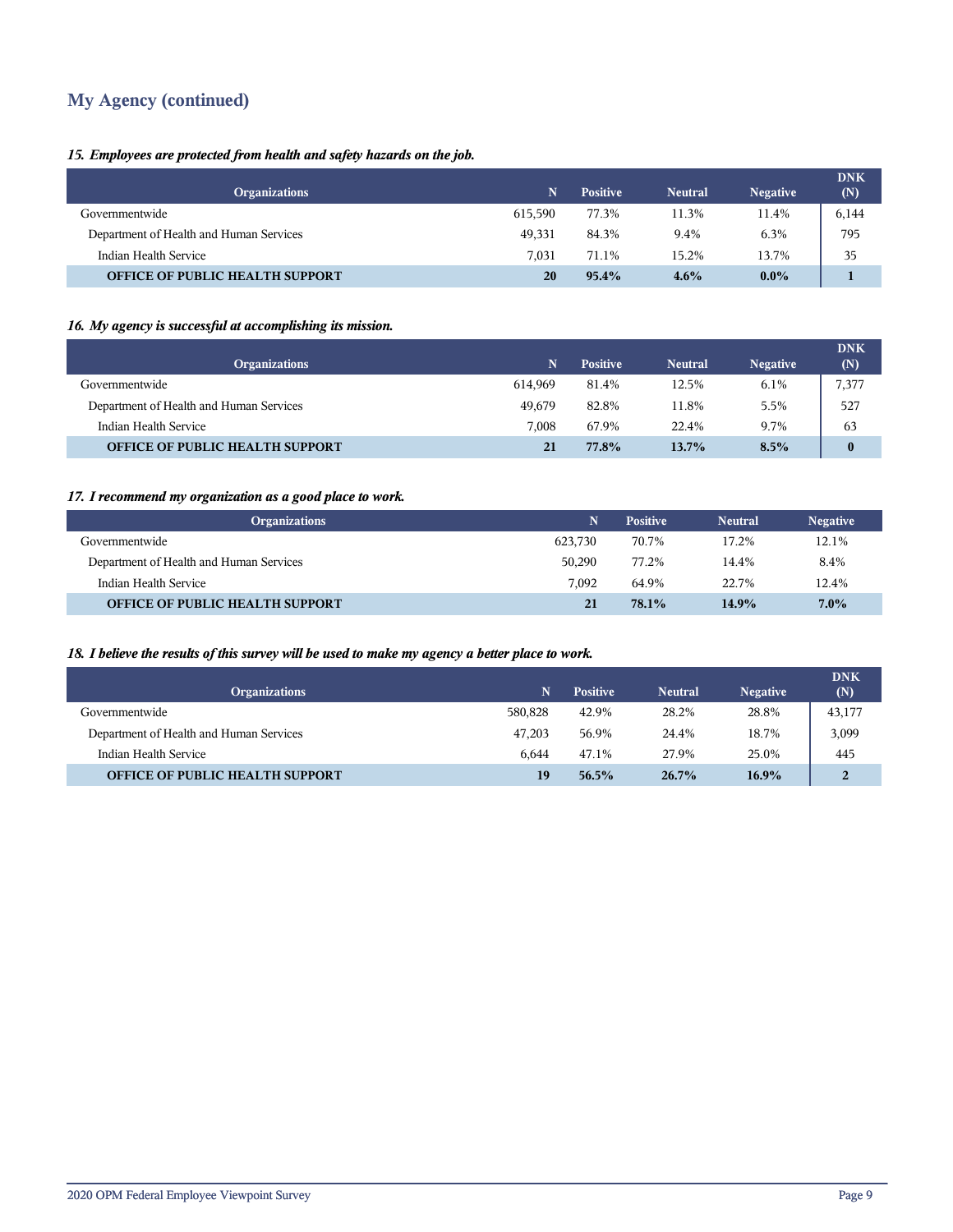## **My Agency (continued)**

#### *15. Employees are protected from health and safety hazards on the job.*

|                                         |         |                 |                |                 | <b>DNK</b> |
|-----------------------------------------|---------|-----------------|----------------|-----------------|------------|
| <b>Organizations</b>                    | N       | <b>Positive</b> | <b>Neutral</b> | <b>Negative</b> | (N)        |
| Governmentwide                          | 615.590 | 77.3%           | 11.3%          | 11.4%           | 6,144      |
| Department of Health and Human Services | 49.331  | 84.3%           | 9.4%           | 6.3%            | 795        |
| Indian Health Service                   | 7.031   | 71.1%           | 15.2%          | 13.7%           | 35         |
| <b>OFFICE OF PUBLIC HEALTH SUPPORT</b>  | 20      | $95.4\%$        | $4.6\%$        | $0.0\%$         |            |

#### *16. My agency is successful at accomplishing its mission.*

| <b>Organizations</b>                    | N       | <b>Positive</b> | <b>Neutral</b> | <b>Negative</b> | <b>DNK</b><br>(N) |
|-----------------------------------------|---------|-----------------|----------------|-----------------|-------------------|
| Governmentwide                          | 614.969 | 81.4%           | 12.5%          | 6.1%            | 7,377             |
| Department of Health and Human Services | 49.679  | 82.8%           | 11.8%          | 5.5%            | 527               |
| Indian Health Service                   | 7.008   | 67.9%           | 22.4%          | 9.7%            | 63                |
| <b>OFFICE OF PUBLIC HEALTH SUPPORT</b>  | 21      | 77.8%           | 13.7%          | 8.5%            | $\bf{0}$          |

#### *17. I recommend my organization as a good place to work.*

| <b>Organizations</b>                    | N       | <b>Positive</b> | <b>Neutral</b> | <b>Negative</b> |
|-----------------------------------------|---------|-----------------|----------------|-----------------|
| Governmentwide                          | 623.730 | 70.7%           | 17.2%          | 12.1%           |
| Department of Health and Human Services | 50,290  | 77.2%           | 14.4%          | 8.4%            |
| Indian Health Service                   | 7.092   | 64.9%           | 22.7%          | 12.4%           |
| <b>OFFICE OF PUBLIC HEALTH SUPPORT</b>  | 21      | 78.1%           | 14.9%          | $7.0\%$         |

#### *18. I believe the results of this survey will be used to make my agency a better place to work.*

| <b>Organizations</b>                    | 'N.     | <b>Positive</b> | Neutral  | <b>Negative</b> | <b>DNK</b><br>(N) |
|-----------------------------------------|---------|-----------------|----------|-----------------|-------------------|
| Governmentwide                          | 580.828 | 42.9%           | 28.2%    | 28.8%           | 43,177            |
| Department of Health and Human Services | 47.203  | 56.9%           | 24.4%    | 18.7%           | 3,099             |
| Indian Health Service                   | 6.644   | 47.1%           | 27.9%    | 25.0%           | 445               |
| <b>OFFICE OF PUBLIC HEALTH SUPPORT</b>  | 19      | $56.5\%$        | $26.7\%$ | $16.9\%$        | $\overline{2}$    |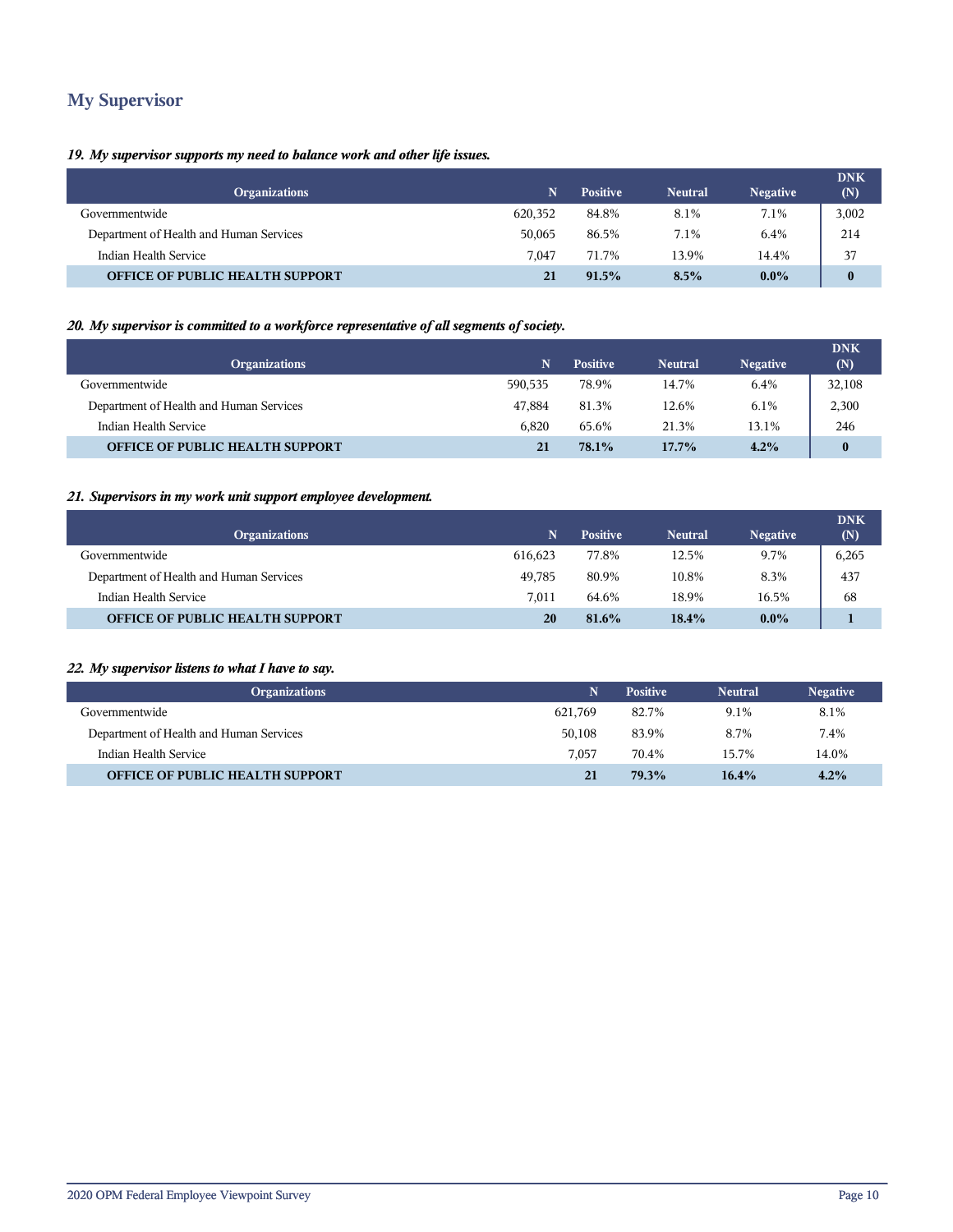## **My Supervisor**

#### *19. My supervisor supports my need to balance work and other life issues.*

| <b>Organizations</b>                    | 'N      | <b>Positive</b> | <b>Neutral</b> | <b>Negative</b> | <b>DNK</b><br>(N) |
|-----------------------------------------|---------|-----------------|----------------|-----------------|-------------------|
| Governmentwide                          | 620,352 | 84.8%           | 8.1%           | 7.1%            | 3,002             |
| Department of Health and Human Services | 50,065  | 86.5%           | 7.1%           | 6.4%            | 214               |
| Indian Health Service                   | 7.047   | 71.7%           | 13.9%          | 14.4%           | 37                |
| <b>OFFICE OF PUBLIC HEALTH SUPPORT</b>  | 21      | 91.5%           | 8.5%           | $0.0\%$         | $\bf{0}$          |

#### *20. My supervisor is committed to a workforce representative of all segments of society.*

| <b>Organizations</b>                    | N       | <b>Positive</b> | <b>Neutral</b> | <b>Negative</b> | <b>DNK</b><br>(N) |
|-----------------------------------------|---------|-----------------|----------------|-----------------|-------------------|
| Governmentwide                          | 590.535 | 78.9%           | 14.7%          | 6.4%            | 32,108            |
| Department of Health and Human Services | 47.884  | 81.3%           | 12.6%          | 6.1%            | 2,300             |
| Indian Health Service                   | 6.820   | 65.6%           | 21.3%          | 13.1%           | 246               |
| <b>OFFICE OF PUBLIC HEALTH SUPPORT</b>  | 21      | 78.1%           | $17.7\%$       | 4.2%            | $\bf{0}$          |

#### *21. Supervisors in my work unit support employee development.*

| <b>Organizations</b>                    | N       | <b>Positive</b> | <b>Neutral</b> | <b>Negative</b> | <b>DNK</b><br>(N) |
|-----------------------------------------|---------|-----------------|----------------|-----------------|-------------------|
| Governmentwide                          | 616.623 | 77.8%           | 12.5%          | 9.7%            | 6,265             |
| Department of Health and Human Services | 49.785  | 80.9%           | 10.8%          | 8.3%            | 437               |
| Indian Health Service                   | 7.011   | 64.6%           | 18.9%          | 16.5%           | 68                |
| <b>OFFICE OF PUBLIC HEALTH SUPPORT</b>  | 20      | 81.6%           | 18.4%          | $0.0\%$         |                   |

#### *22. My supervisor listens to what I have to say.*

| <b>Organizations</b>                    | N       | <b>Positive</b> | <b>Neutral</b> | <b>Negative</b> |
|-----------------------------------------|---------|-----------------|----------------|-----------------|
| Governmentwide                          | 621.769 | 82.7%           | 9.1%           | 8.1%            |
| Department of Health and Human Services | 50.108  | 83.9%           | 8.7%           | 7.4%            |
| Indian Health Service                   | 7.057   | 70.4%           | 15.7%          | 14.0%           |
| <b>OFFICE OF PUBLIC HEALTH SUPPORT</b>  | 21      | 79.3%           | 16.4%          | 4.2%            |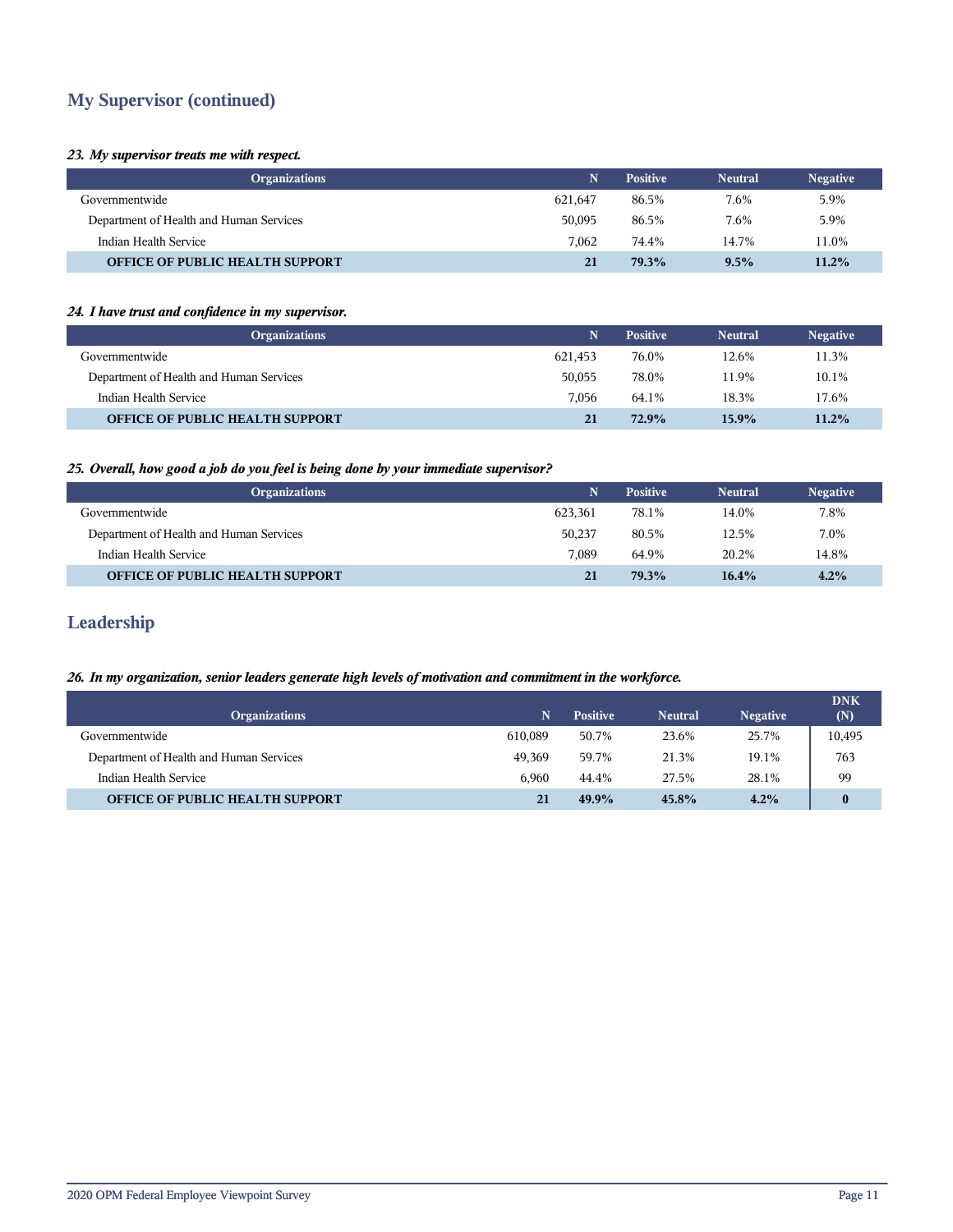## **My Supervisor (continued)**

#### *23. My supervisor treats me with respect.*

| <b>Organizations</b>                    | N       | <b>Positive</b> | <b>Neutral</b> | <b>Negative</b> |
|-----------------------------------------|---------|-----------------|----------------|-----------------|
| Governmentwide                          | 621.647 | 86.5%           | 7.6%           | 5.9%            |
| Department of Health and Human Services | 50,095  | 86.5%           | 7.6%           | 5.9%            |
| Indian Health Service                   | 7.062   | 74.4%           | 14.7%          | 11.0%           |
| <b>OFFICE OF PUBLIC HEALTH SUPPORT</b>  | 21      | 79.3%           | 9.5%           | 11.2%           |

#### *24. I have trust and confidence in my supervisor.*

| <b>Organizations</b>                    | N       | <b>Positive</b> | <b>Neutral</b> | <b>Negative</b> |
|-----------------------------------------|---------|-----------------|----------------|-----------------|
| Governmentwide                          | 621.453 | 76.0%           | 12.6%          | 11.3%           |
| Department of Health and Human Services | 50.055  | 78.0%           | 11.9%          | 10.1%           |
| Indian Health Service                   | 7.056   | 64.1%           | 18.3%          | 17.6%           |
| <b>OFFICE OF PUBLIC HEALTH SUPPORT</b>  | 21      | 72.9%           | $15.9\%$       | 11.2%           |

#### *25. Overall, how good a job do you feel is being done by your immediate supervisor?*

| <b>Organizations</b>                    | N       | <b>Positive</b> | <b>Neutral</b> | <b>Negative</b> |
|-----------------------------------------|---------|-----------------|----------------|-----------------|
| Governmentwide                          | 623.361 | 78.1%           | 14.0%          | 7.8%            |
| Department of Health and Human Services | 50.237  | 80.5%           | 12.5%          | 7.0%            |
| Indian Health Service                   | 7.089   | 64.9%           | 20.2%          | 14.8%           |
| <b>OFFICE OF PUBLIC HEALTH SUPPORT</b>  | 21      | 79.3%           | $16.4\%$       | 4.2%            |

## **Leadership**

#### *26. In my organization, senior leaders generate high levels of motivation and commitment in the workforce.*

| <b>Organizations</b>                    | N       | <b>Positive</b> | <b>Neutral</b> | <b>Negative</b> | <b>DNK</b><br>(N) |
|-----------------------------------------|---------|-----------------|----------------|-----------------|-------------------|
| Governmentwide                          | 610.089 | 50.7%           | 23.6%          | 25.7%           | 10,495            |
| Department of Health and Human Services | 49.369  | 59.7%           | 21.3%          | 19.1%           | 763               |
| Indian Health Service                   | 6.960   | 44.4%           | 27.5%          | 28.1%           | 99                |
| <b>OFFICE OF PUBLIC HEALTH SUPPORT</b>  | 21      | $49.9\%$        | 45.8%          | 4.2%            | 0                 |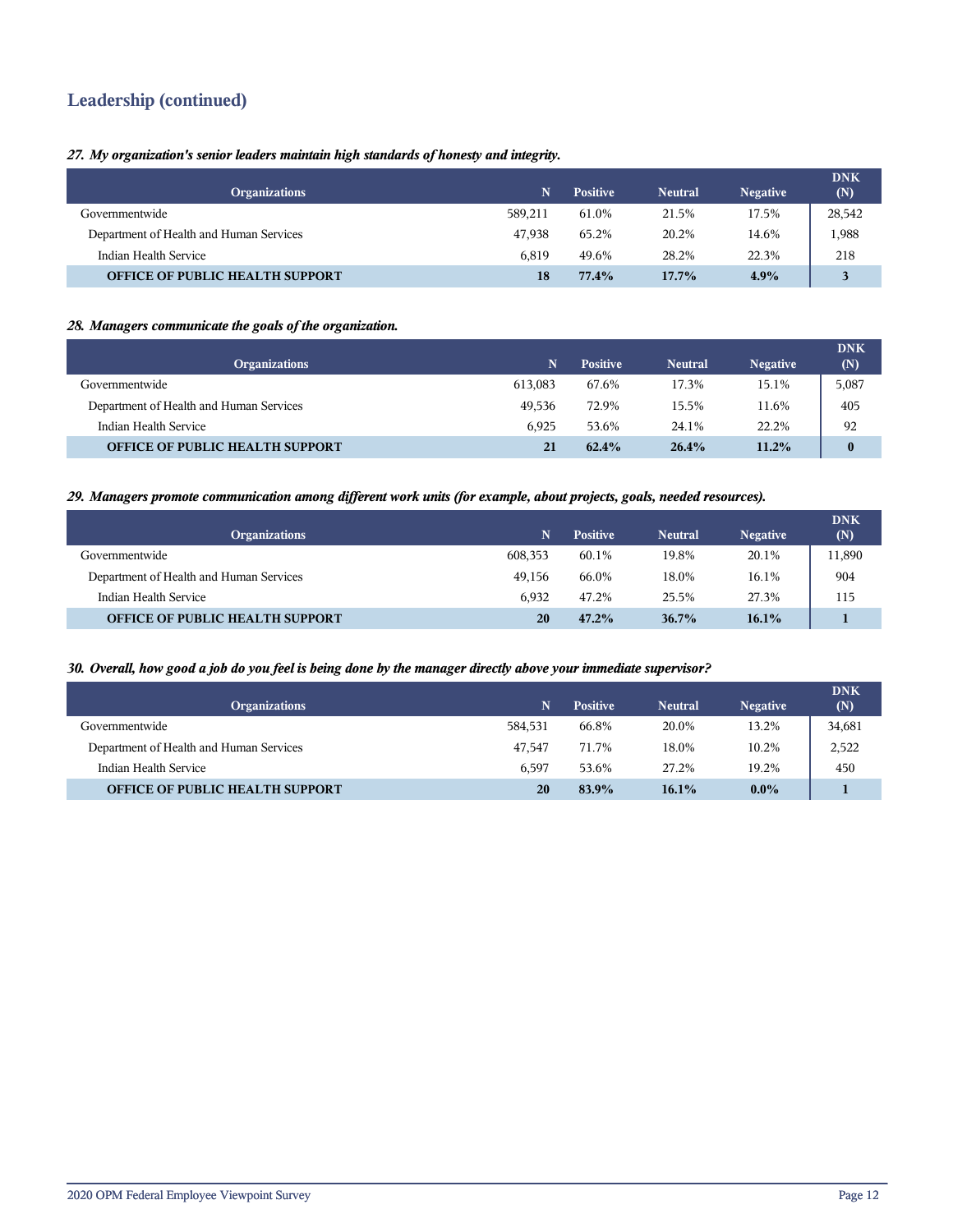## **Leadership (continued)**

#### *27. My organization's senior leaders maintain high standards of honesty and integrity.*

| <b>Organizations</b>                    | N       | <b>Positive</b> | <b>Neutral</b> | <b>Negative</b> | <b>DNK</b><br>(N) |
|-----------------------------------------|---------|-----------------|----------------|-----------------|-------------------|
| Governmentwide                          | 589.211 | 61.0%           | 21.5%          | 17.5%           | 28,542            |
| Department of Health and Human Services | 47.938  | 65.2%           | 20.2%          | 14.6%           | 1,988             |
| Indian Health Service                   | 6.819   | 49.6%           | 28.2%          | 22.3%           | 218               |
| <b>OFFICE OF PUBLIC HEALTH SUPPORT</b>  | 18      | 77.4%           | $17.7\%$       | 4.9%            | 3                 |

#### *28. Managers communicate the goals of the organization.*

| <b>Organizations</b>                    | N       | <b>Positive</b> | <b>Neutral</b> | <b>Negative</b> | <b>DNK</b><br>(N) |
|-----------------------------------------|---------|-----------------|----------------|-----------------|-------------------|
| Governmentwide                          | 613.083 | 67.6%           | 17.3%          | 15.1%           | 5,087             |
| Department of Health and Human Services | 49.536  | 72.9%           | 15.5%          | 11.6%           | 405               |
| Indian Health Service                   | 6.925   | 53.6%           | 24.1%          | 22.2%           | 92                |
| <b>OFFICE OF PUBLIC HEALTH SUPPORT</b>  | 21      | $62.4\%$        | 26.4%          | $11.2\%$        | $\bf{0}$          |

#### *29. Managers promote communication among different work units (for example, about projects, goals, needed resources).*

| <b>Organizations</b>                    | N       | <b>Positive</b> | <b>Neutral</b> | <b>Negative</b> | <b>DNK</b><br>(N) |
|-----------------------------------------|---------|-----------------|----------------|-----------------|-------------------|
| Governmentwide                          | 608,353 | 60.1%           | 19.8%          | 20.1%           | 11,890            |
| Department of Health and Human Services | 49.156  | 66.0%           | 18.0%          | 16.1%           | 904               |
| Indian Health Service                   | 6.932   | 47.2%           | 25.5%          | 27.3%           | 115               |
| <b>OFFICE OF PUBLIC HEALTH SUPPORT</b>  | 20      | $47.2\%$        | $36.7\%$       | 16.1%           |                   |

#### *30. Overall, how good a job do you feel is being done by the manager directly above your immediate supervisor?*

| <b>Organizations</b>                    | N.      | <b>Positive</b> | <b>Neutral</b> | <b>Negative</b> | <b>DNK</b><br>(N) |
|-----------------------------------------|---------|-----------------|----------------|-----------------|-------------------|
| Governmentwide                          | 584,531 | 66.8%           | 20.0%          | 13.2%           | 34,681            |
| Department of Health and Human Services | 47.547  | 71.7%           | 18.0%          | 10.2%           | 2,522             |
| Indian Health Service                   | 6.597   | 53.6%           | 27.2%          | 19.2%           | 450               |
| <b>OFFICE OF PUBLIC HEALTH SUPPORT</b>  | 20      | 83.9%           | $16.1\%$       | $0.0\%$         |                   |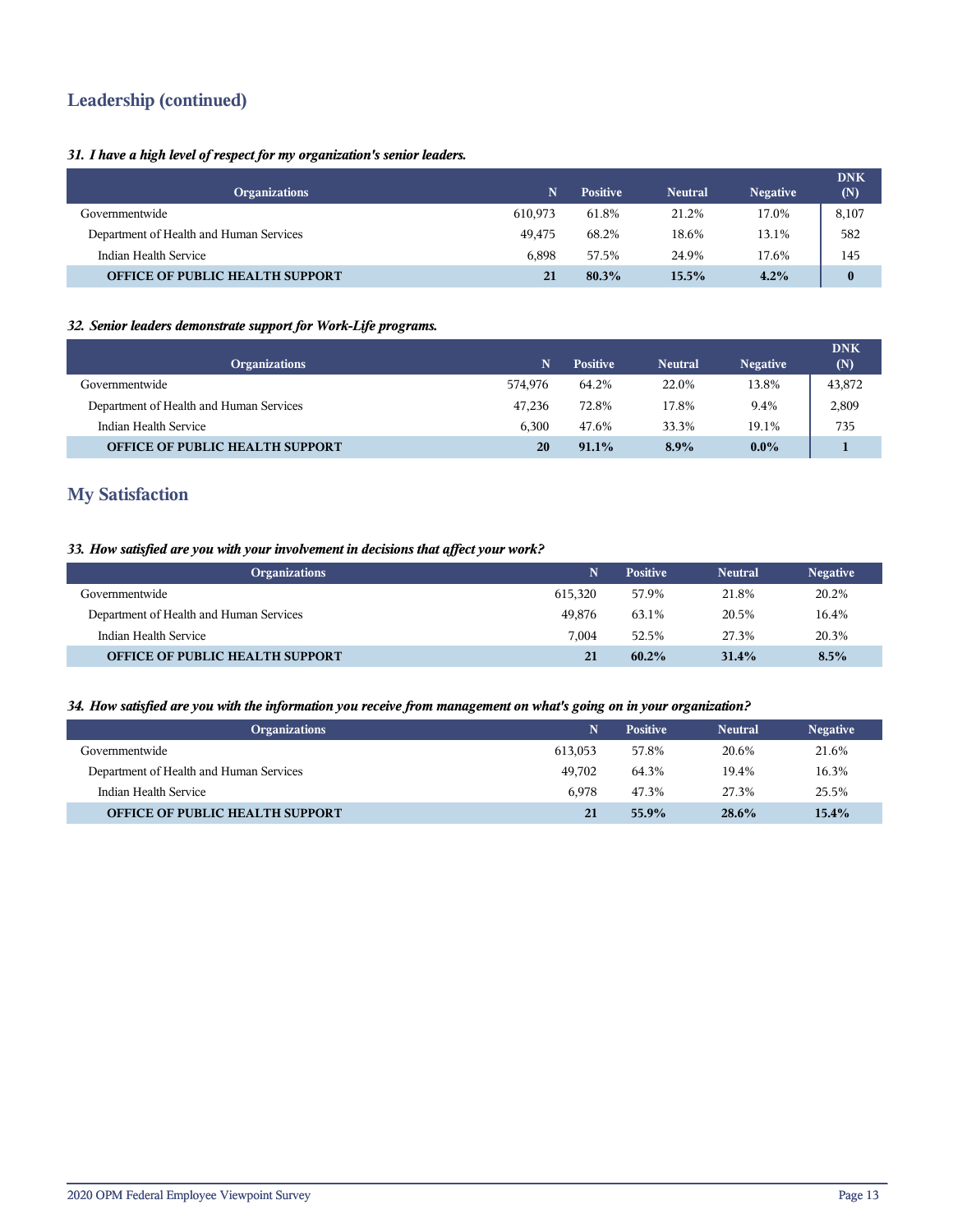## **Leadership (continued)**

#### *31. I have a high level of respect for my organization's senior leaders.*

|                                         |         |                 |                |                 | <b>DNK</b> |
|-----------------------------------------|---------|-----------------|----------------|-----------------|------------|
| <b>Organizations</b>                    | N       | <b>Positive</b> | <b>Neutral</b> | <b>Negative</b> | (N)        |
| Governmentwide                          | 610.973 | 61.8%           | 21.2%          | 17.0%           | 8,107      |
| Department of Health and Human Services | 49.475  | 68.2%           | 18.6%          | 13.1%           | 582        |
| Indian Health Service                   | 6.898   | 57.5%           | 24.9%          | 17.6%           | 145        |
| <b>OFFICE OF PUBLIC HEALTH SUPPORT</b>  | 21      | 80.3%           | 15.5%          | 4.2%            | $\bf{0}$   |

#### *32. Senior leaders demonstrate support for Work-Life programs.*

| <b>Organizations</b>                    | N       | <b>Positive</b> | <b>Neutral</b> | <b>Negative</b> | <b>DNK</b><br>(N) |
|-----------------------------------------|---------|-----------------|----------------|-----------------|-------------------|
| Governmentwide                          | 574.976 | 64.2%           | 22.0%          | 13.8%           | 43,872            |
| Department of Health and Human Services | 47.236  | 72.8%           | 17.8%          | 9.4%            | 2,809             |
| Indian Health Service                   | 6.300   | 47.6%           | 33.3%          | 19.1%           | 735               |
| <b>OFFICE OF PUBLIC HEALTH SUPPORT</b>  | 20      | $91.1\%$        | $8.9\%$        | $0.0\%$         |                   |

## **My Satisfaction**

#### *33. How satisfied are you with your involvement in decisions that affect your work?*

| <b>Organizations</b>                    | N       | <b>Positive</b> | <b>Neutral</b> | <b>Negative</b> |
|-----------------------------------------|---------|-----------------|----------------|-----------------|
| Governmentwide                          | 615.320 | 57.9%           | 21.8%          | 20.2%           |
| Department of Health and Human Services | 49,876  | 63.1%           | 20.5%          | 16.4%           |
| Indian Health Service                   | 7.004   | 52.5%           | 27.3%          | 20.3%           |
| <b>OFFICE OF PUBLIC HEALTH SUPPORT</b>  | 21      | $60.2\%$        | 31.4%          | 8.5%            |

#### *34. How satisfied are you with the information you receive from management on what's going on in your organization?*

| <b>Organizations</b>                    | N       | <b>Positive</b> | <b>Neutral</b> | <b>Negative</b> |
|-----------------------------------------|---------|-----------------|----------------|-----------------|
| Governmentwide                          | 613.053 | 57.8%           | 20.6%          | 21.6%           |
| Department of Health and Human Services | 49.702  | 64.3%           | 19.4%          | 16.3%           |
| Indian Health Service                   | 6.978   | 47.3%           | 27.3%          | 25.5%           |
| <b>OFFICE OF PUBLIC HEALTH SUPPORT</b>  | 21      | 55.9%           | $28.6\%$       | $15.4\%$        |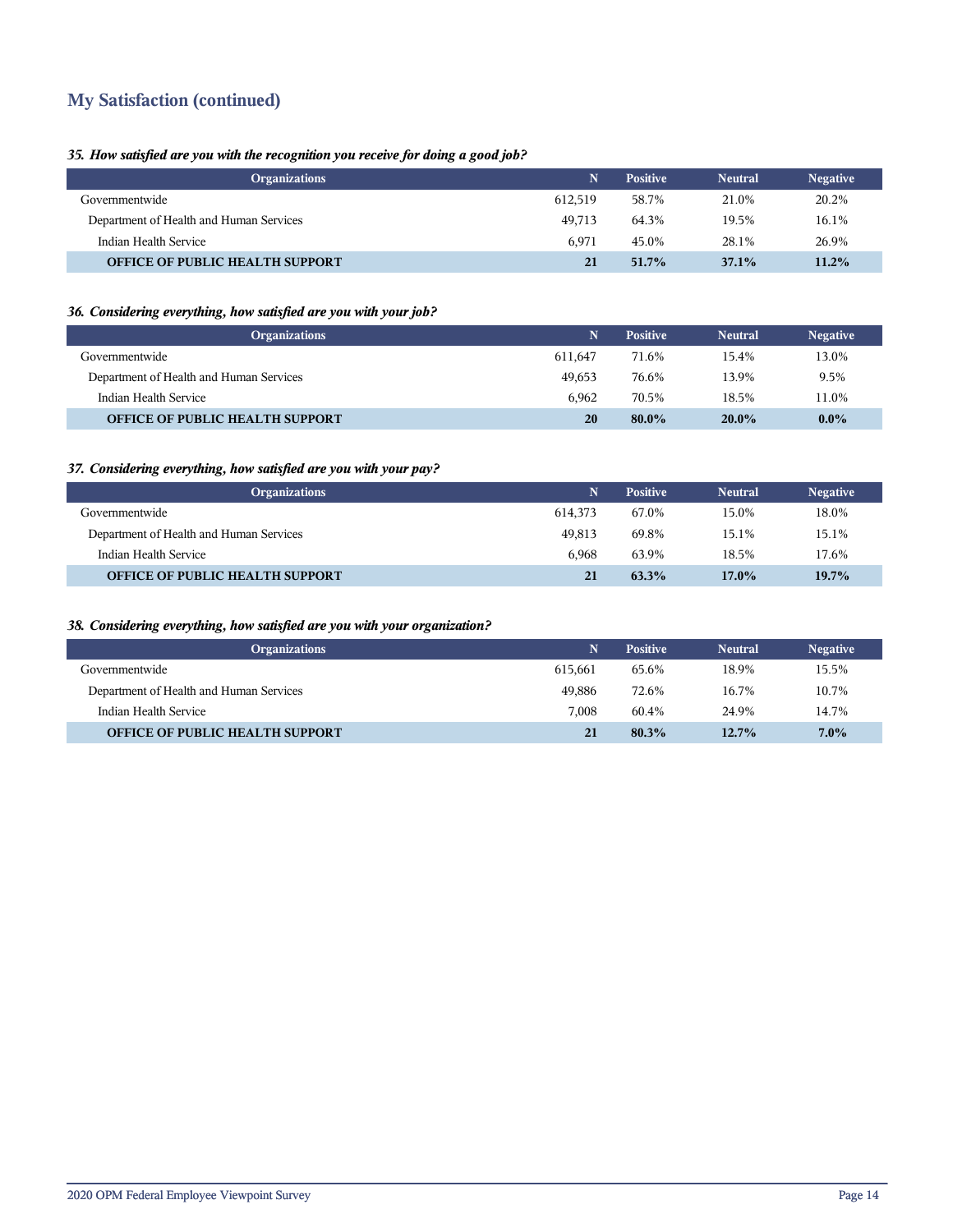## **My Satisfaction (continued)**

#### *35. How satisfied are you with the recognition you receive for doing a good job?*

| <b>Organizations</b>                    | N       | <b>Positive</b> | <b>Neutral</b> | <b>Negative</b> |
|-----------------------------------------|---------|-----------------|----------------|-----------------|
| Governmentwide                          | 612.519 | 58.7%           | 21.0%          | 20.2%           |
| Department of Health and Human Services | 49.713  | 64.3%           | 19.5%          | 16.1%           |
| Indian Health Service                   | 6.971   | 45.0%           | 28.1%          | 26.9%           |
| <b>OFFICE OF PUBLIC HEALTH SUPPORT</b>  | 21      | $51.7\%$        | $37.1\%$       | $11.2\%$        |

#### *36. Considering everything, how satisfied are you with your job?*

| <b>Organizations</b>                    | N       | <b>Positive</b> | <b>Neutral</b> | <b>Negative</b> |
|-----------------------------------------|---------|-----------------|----------------|-----------------|
| Governmentwide                          | 611.647 | 71.6%           | 15.4%          | 13.0%           |
| Department of Health and Human Services | 49.653  | 76.6%           | 13.9%          | 9.5%            |
| Indian Health Service                   | 6.962   | 70.5%           | 18.5%          | 11.0%           |
| <b>OFFICE OF PUBLIC HEALTH SUPPORT</b>  | 20      | $80.0\%$        | $20.0\%$       | $0.0\%$         |

#### *37. Considering everything, how satisfied are you with your pay?*

| <b>Organizations</b>                    | N.      | <b>Positive</b> | <b>Neutral</b> | <b>Negative</b> |
|-----------------------------------------|---------|-----------------|----------------|-----------------|
| Governmentwide                          | 614.373 | 67.0%           | 15.0%          | 18.0%           |
| Department of Health and Human Services | 49.813  | 69.8%           | 15.1%          | 15.1%           |
| Indian Health Service                   | 6.968   | 63.9%           | 18.5%          | 17.6%           |
| <b>OFFICE OF PUBLIC HEALTH SUPPORT</b>  | 21      | 63.3%           | 17.0%          | 19.7%           |

#### *38. Considering everything, how satisfied are you with your organization?*

| <b>Organizations</b>                    | N       | <b>Positive</b> | <b>Neutral</b> | <b>Negative</b> |
|-----------------------------------------|---------|-----------------|----------------|-----------------|
| Governmentwide                          | 615.661 | 65.6%           | 18.9%          | 15.5%           |
| Department of Health and Human Services | 49.886  | 72.6%           | 16.7%          | 10.7%           |
| Indian Health Service                   | 7.008   | 60.4%           | 24.9%          | 14.7%           |
| <b>OFFICE OF PUBLIC HEALTH SUPPORT</b>  | 21      | 80.3%           | $12.7\%$       | $7.0\%$         |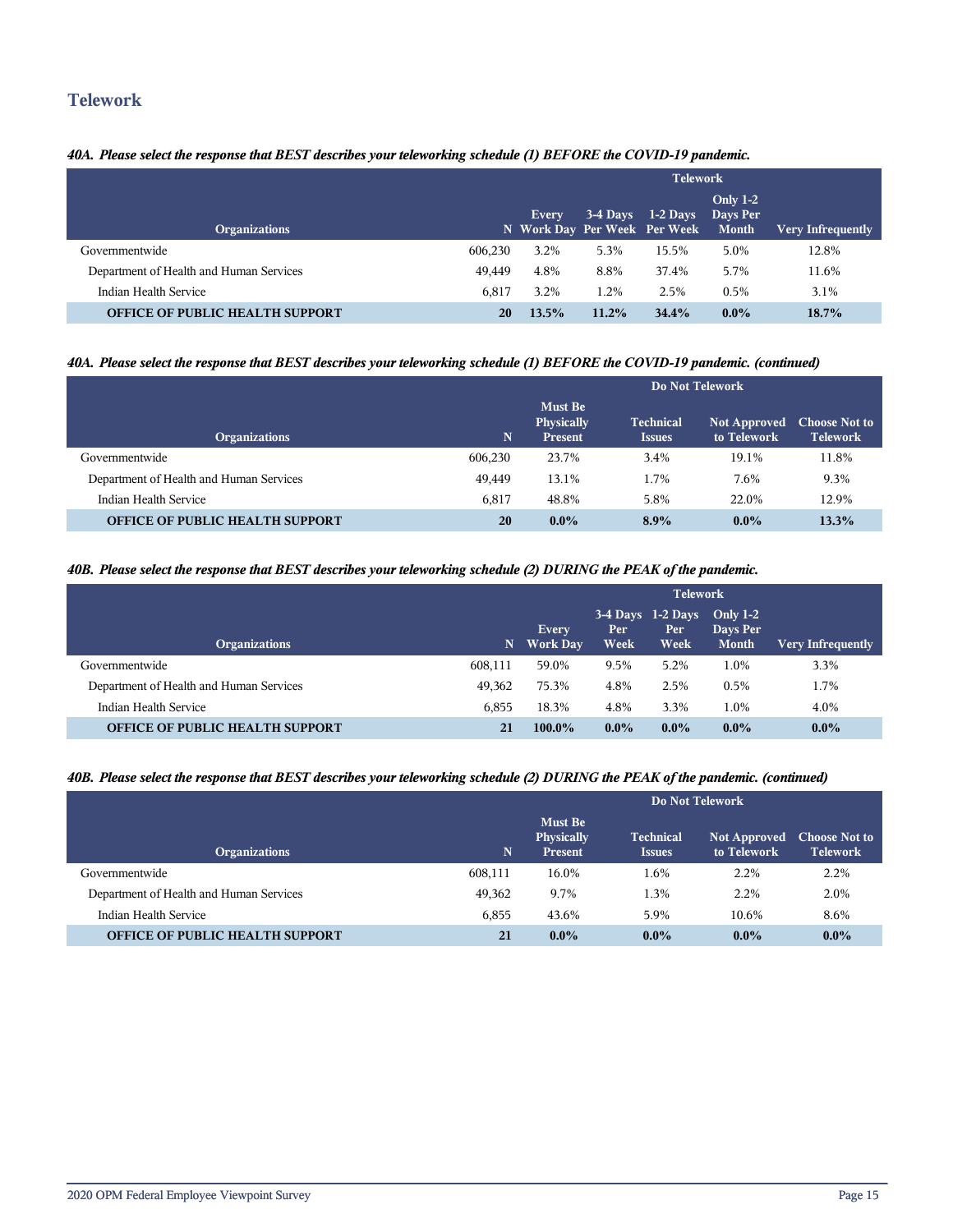### **Telework**

#### *40A. Please select the response that BEST describes your teleworking schedule (1) BEFORE the COVID-19 pandemic.*

|                                         |         | <b>Telework</b>                       |          |                     |                                             |                          |  |
|-----------------------------------------|---------|---------------------------------------|----------|---------------------|---------------------------------------------|--------------------------|--|
| <b>Organizations</b>                    |         | Every<br>N Work Day Per Week Per Week |          | $3-4$ Days 1-2 Days | <b>Only 1-2</b><br>Days Per<br><b>Month</b> | <b>Very Infrequently</b> |  |
| Governmentwide                          | 606.230 | 3.2%                                  | 5.3%     | 15.5%               | 5.0%                                        | 12.8%                    |  |
| Department of Health and Human Services | 49.449  | 4.8%                                  | 8.8%     | 37.4%               | 5.7%                                        | 11.6%                    |  |
| Indian Health Service                   | 6.817   | 3.2%                                  | 1.2%     | 2.5%                | 0.5%                                        | 3.1%                     |  |
| <b>OFFICE OF PUBLIC HEALTH SUPPORT</b>  | 20      | 13.5%                                 | $11.2\%$ | 34.4%               | $0.0\%$                                     | $18.7\%$                 |  |

#### *40A. Please select the response that BEST describes your teleworking schedule (1) BEFORE the COVID-19 pandemic. (continued)*

|                                         | Do Not Telework |                                                       |                                   |                                    |                                         |  |
|-----------------------------------------|-----------------|-------------------------------------------------------|-----------------------------------|------------------------------------|-----------------------------------------|--|
| <b>Organizations</b>                    | N               | <b>Must Be</b><br><b>Physically</b><br><b>Present</b> | <b>Technical</b><br><b>Issues</b> | <b>Not Approved</b><br>to Telework | <b>Choose Not to</b><br><b>Telework</b> |  |
| Governmentwide                          | 606.230         | 23.7%                                                 | 3.4%                              | 19.1%                              | 11.8%                                   |  |
| Department of Health and Human Services | 49,449          | 13.1%                                                 | 1.7%                              | 7.6%                               | 9.3%                                    |  |
| Indian Health Service                   | 6.817           | 48.8%                                                 | 5.8%                              | 22.0%                              | 12.9%                                   |  |
| <b>OFFICE OF PUBLIC HEALTH SUPPORT</b>  | 20              | $0.0\%$                                               | 8.9%                              | $0.0\%$                            | 13.3%                                   |  |

#### *40B. Please select the response that BEST describes your teleworking schedule (2) DURING the PEAK of the pandemic.*

|                                         |         | <b>Telework</b>          |              |                                                  |                          |                          |  |
|-----------------------------------------|---------|--------------------------|--------------|--------------------------------------------------|--------------------------|--------------------------|--|
| <b>Organizations</b>                    | N       | Every<br><b>Work Day</b> | Per.<br>Week | $3-4$ Days $1-2$ Days Only $1-2$<br>Per:<br>Week | Days Per<br><b>Month</b> | <b>Very Infrequently</b> |  |
| Governmentwide                          | 608.111 | 59.0%                    | 9.5%         | 5.2%                                             | l.0%                     | 3.3%                     |  |
| Department of Health and Human Services | 49.362  | 75.3%                    | 4.8%         | 2.5%                                             | 0.5%                     | 1.7%                     |  |
| Indian Health Service                   | 6.855   | 18.3%                    | 4.8%         | 3.3%                                             | 1.0%                     | 4.0%                     |  |
| <b>OFFICE OF PUBLIC HEALTH SUPPORT</b>  | 21      | $100.0\%$                | $0.0\%$      | $0.0\%$                                          | $0.0\%$                  | $0.0\%$                  |  |

#### *40B. Please select the response that BEST describes your teleworking schedule (2) DURING the PEAK of the pandemic. (continued)*

|                                         |         | Do Not Telework                                |                                   |                                    |                                         |  |  |  |
|-----------------------------------------|---------|------------------------------------------------|-----------------------------------|------------------------------------|-----------------------------------------|--|--|--|
| <b>Organizations</b>                    | N.      | <b>Must Be</b><br>Physically<br><b>Present</b> | <b>Technical</b><br><b>Issues</b> | <b>Not Approved</b><br>to Telework | <b>Choose Not to</b><br><b>Telework</b> |  |  |  |
| Governmentwide                          | 608,111 | 16.0%                                          | 1.6%                              | 2.2%                               | $2.2\%$                                 |  |  |  |
| Department of Health and Human Services | 49,362  | 9.7%                                           | 1.3%                              | 2.2%                               | 2.0%                                    |  |  |  |
| Indian Health Service                   | 6.855   | 43.6%                                          | 5.9%                              | 10.6%                              | 8.6%                                    |  |  |  |
| <b>OFFICE OF PUBLIC HEALTH SUPPORT</b>  | 21      | $0.0\%$                                        | $0.0\%$                           | $0.0\%$                            | $0.0\%$                                 |  |  |  |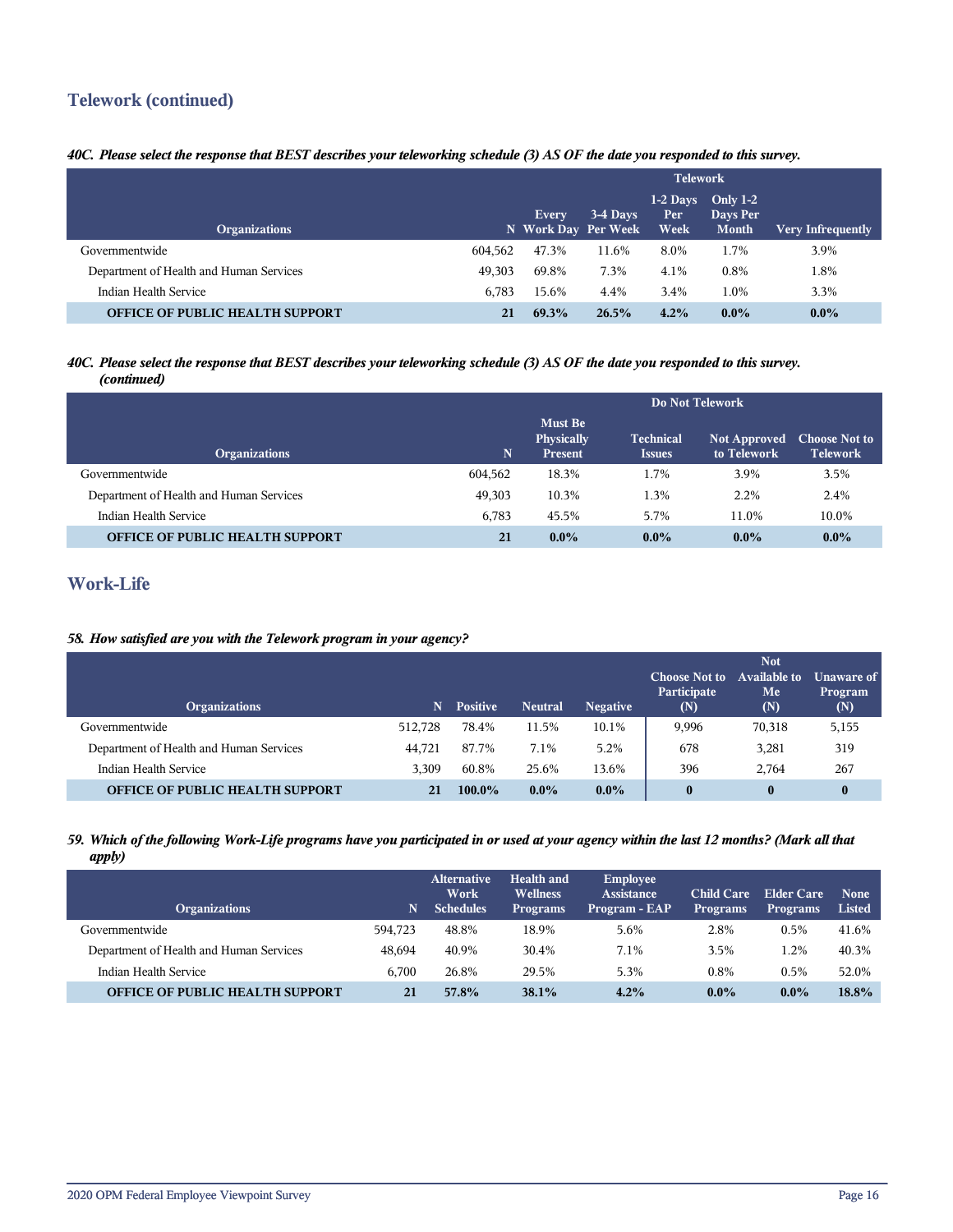## **Telework (continued)**

#### *40C. Please select the response that BEST describes your teleworking schedule (3) AS OF the date you responded to this survey.*

|                                         |         | <b>Telework</b>                     |          |                            |                                        |                          |
|-----------------------------------------|---------|-------------------------------------|----------|----------------------------|----------------------------------------|--------------------------|
| <b>Organizations</b>                    |         | <b>Every</b><br>N Work Day Per Week | 3-4 Days | $1-2$ Days<br>Per.<br>Week | Only $1-2$<br>Days Per<br><b>Month</b> | <b>Very Infrequently</b> |
| Governmentwide                          | 604,562 | 47.3%                               | 11.6%    | 8.0%                       | 1.7%                                   | 3.9%                     |
| Department of Health and Human Services | 49.303  | 69.8%                               | 7.3%     | 4.1%                       | 0.8%                                   | .8%                      |
| Indian Health Service                   | 6.783   | 15.6%                               | 4.4%     | 3.4%                       | 1.0%                                   | 3.3%                     |
| <b>OFFICE OF PUBLIC HEALTH SUPPORT</b>  | 21      | 69.3%                               | 26.5%    | 4.2%                       | $0.0\%$                                | $0.0\%$                  |

#### *40C. Please select the response that BEST describes your teleworking schedule (3) AS OF the date you responded to this survey. (continued)*

|                                         |             | Do Not Telework                                       |                                   |                             |                                         |  |  |
|-----------------------------------------|-------------|-------------------------------------------------------|-----------------------------------|-----------------------------|-----------------------------------------|--|--|
| <b>Organizations</b>                    | $\mathbf N$ | <b>Must Be</b><br><b>Physically</b><br><b>Present</b> | <b>Technical</b><br><b>Issues</b> | Not Approved<br>to Telework | <b>Choose Not to</b><br><b>Telework</b> |  |  |
| Governmentwide                          | 604.562     | 18.3%                                                 | 1.7%                              | 3.9%                        | 3.5%                                    |  |  |
| Department of Health and Human Services | 49,303      | 10.3%                                                 | 1.3%                              | 2.2%                        | 2.4%                                    |  |  |
| Indian Health Service                   | 6,783       | 45.5%                                                 | 5.7%                              | 11.0%                       | 10.0%                                   |  |  |
| <b>OFFICE OF PUBLIC HEALTH SUPPORT</b>  | 21          | $0.0\%$                                               | $0.0\%$                           | $0.0\%$                     | $0.0\%$                                 |  |  |

## **Work-Life**

#### *58. How satisfied are you with the Telework program in your agency?*

| <b>Organizations</b>                    | 'N.     | <b>Positive</b> | <b>Neutral</b> | <b>Negative</b> | <b>Choose Not to</b><br>Participate<br>(N) | <b>Not</b><br><b>Available to</b><br>Me<br>(N) | <b>Unaware of</b><br>Program<br>(N) |
|-----------------------------------------|---------|-----------------|----------------|-----------------|--------------------------------------------|------------------------------------------------|-------------------------------------|
| Governmentwide                          | 512,728 | 78.4%           | 11.5%          | 10.1%           | 9.996                                      | 70,318                                         | 5,155                               |
| Department of Health and Human Services | 44.721  | 87.7%           | 7.1%           | 5.2%            | 678                                        | 3,281                                          | 319                                 |
| Indian Health Service                   | 3.309   | 60.8%           | 25.6%          | 13.6%           | 396                                        | 2.764                                          | 267                                 |
| <b>OFFICE OF PUBLIC HEALTH SUPPORT</b>  | 21      | $100.0\%$       | $0.0\%$        | $0.0\%$         |                                            | $\bf{0}$                                       | $\bf{0}$                            |

#### *59. Which of the following Work-Life programs have you participated in or used at your agency within the last 12 months? (Mark all that apply)*

| <b>Organizations</b>                    | N       | <b>Alternative</b><br>Work<br><b>Schedules</b> | Health and<br><b>Wellness</b><br><b>Programs</b> | <b>Employee</b><br>Assistance<br>Program - EAP | <b>Child Care</b><br><b>Programs</b> | <b>Elder Care</b><br><b>Programs</b> | <b>None</b><br>Listed |
|-----------------------------------------|---------|------------------------------------------------|--------------------------------------------------|------------------------------------------------|--------------------------------------|--------------------------------------|-----------------------|
| Governmentwide                          | 594.723 | 48.8%                                          | 18.9%                                            | 5.6%                                           | 2.8%                                 | 0.5%                                 | 41.6%                 |
| Department of Health and Human Services | 48.694  | 40.9%                                          | 30.4%                                            | 7.1%                                           | 3.5%                                 | 1.2%                                 | 40.3%                 |
| Indian Health Service                   | 6.700   | 26.8%                                          | 29.5%                                            | 5.3%                                           | 0.8%                                 | 0.5%                                 | 52.0%                 |
| <b>OFFICE OF PUBLIC HEALTH SUPPORT</b>  | 21      | 57.8%                                          | 38.1%                                            | 4.2%                                           | $0.0\%$                              | $0.0\%$                              | 18.8%                 |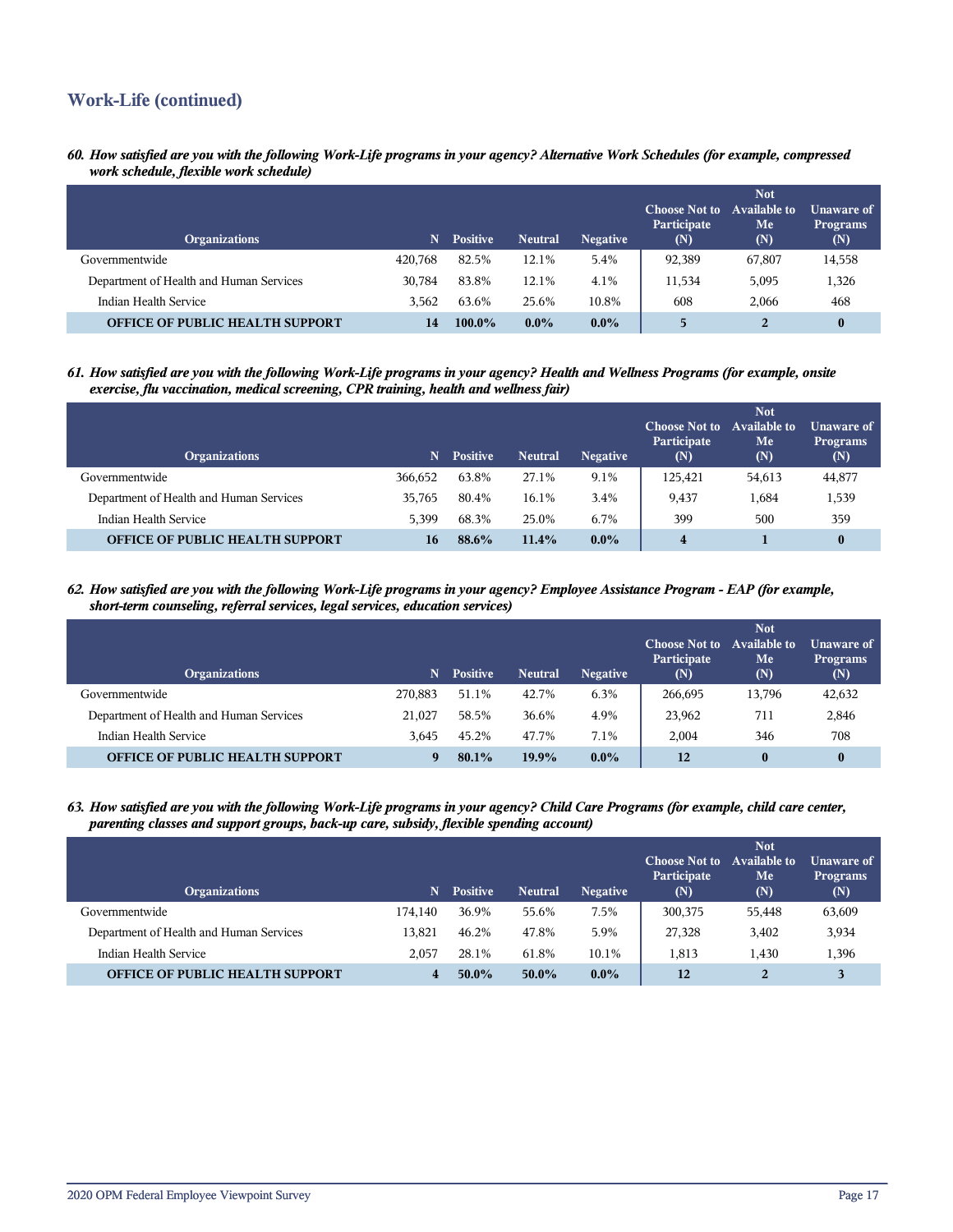## **Work-Life (continued)**

*60. How satisfied are you with the following Work-Life programs in your agency? Alternative Work Schedules (for example, compressed work schedule, flexible work schedule)*

| <b>Organizations</b>                    | N       | <b>Positive</b> | <b>Neutral</b> | <b>Negative</b> | <b>Choose Not to</b><br>Participate<br>(N) | <b>Not</b><br>Available to<br>Me<br>(N) | Unaware of<br><b>Programs</b><br>(N) |
|-----------------------------------------|---------|-----------------|----------------|-----------------|--------------------------------------------|-----------------------------------------|--------------------------------------|
| Governmentwide                          | 420.768 | 82.5%           | 12.1%          | 5.4%            | 92,389                                     | 67,807                                  | 14,558                               |
| Department of Health and Human Services | 30.784  | 83.8%           | 12.1%          | 4.1%            | 11.534                                     | 5,095                                   | 1,326                                |
| Indian Health Service                   | 3.562   | 63.6%           | 25.6%          | 10.8%           | 608                                        | 2.066                                   | 468                                  |
| <b>OFFICE OF PUBLIC HEALTH SUPPORT</b>  | 14      | $100.0\%$       | $0.0\%$        | $0.0\%$         | 5                                          | $\overline{2}$                          | 0                                    |

*61. How satisfied are you with the following Work-Life programs in your agency? Health and Wellness Programs (for example, onsite exercise, flu vaccination, medical screening, CPR training, health and wellness fair)*

| <b>Organizations</b>                    | N       | <b>Positive</b> | <b>Neutral</b> | <b>Negative</b> | <b>Choose Not to</b><br>Participate<br>(N) | <b>Not</b><br><b>Available to</b><br>Me<br>(N) | Unaware of<br><b>Programs</b><br>(N) |
|-----------------------------------------|---------|-----------------|----------------|-----------------|--------------------------------------------|------------------------------------------------|--------------------------------------|
| Governmentwide                          | 366,652 | 63.8%           | 27.1%          | 9.1%            | 125.421                                    | 54,613                                         | 44,877                               |
| Department of Health and Human Services | 35.765  | 80.4%           | 16.1%          | 3.4%            | 9,437                                      | 1,684                                          | 1,539                                |
| Indian Health Service                   | 5.399   | 68.3%           | 25.0%          | 6.7%            | 399                                        | 500                                            | 359                                  |
| <b>OFFICE OF PUBLIC HEALTH SUPPORT</b>  | 16      | 88.6%           | 11.4%          | $0.0\%$         | $\overline{\mathbf{4}}$                    |                                                | $\bf{0}$                             |

*62. How satisfied are you with the following Work-Life programs in your agency? Employee Assistance Program - EAP (for example, short-term counseling, referral services, legal services, education services)*

| <b>Organizations</b>                    | 'N.     | <b>Positive</b> | <b>Neutral</b> | <b>Negative</b> | <b>Choose Not to</b><br>Participate<br>(N) | <b>Not</b><br><b>Available to</b><br>Me<br>(N) | Unaware of <b>I</b><br><b>Programs</b><br>(N) |
|-----------------------------------------|---------|-----------------|----------------|-----------------|--------------------------------------------|------------------------------------------------|-----------------------------------------------|
| Governmentwide                          | 270,883 | 51.1%           | 42.7%          | 6.3%            | 266,695                                    | 13,796                                         | 42,632                                        |
| Department of Health and Human Services | 21.027  | 58.5%           | 36.6%          | 4.9%            | 23,962                                     | 711                                            | 2,846                                         |
| Indian Health Service                   | 3.645   | 45.2%           | 47.7%          | 7.1%            | 2.004                                      | 346                                            | 708                                           |
| <b>OFFICE OF PUBLIC HEALTH SUPPORT</b>  | O       | 80.1%           | 19.9%          | $0.0\%$         | 12                                         | $\bf{0}$                                       |                                               |

*63. How satisfied are you with the following Work-Life programs in your agency? Child Care Programs (for example, child care center, parenting classes and support groups, back-up care, subsidy, flexible spending account)*

| <b>Organizations</b>                    | N       | <b>Positive</b> | <b>Neutral</b> | <b>Negative</b> | <b>Choose Not to</b><br>Participate<br>(N) | <b>Not</b><br><b>Available to</b><br>Me<br>(N) | Unaware of<br><b>Programs</b><br>(N) |
|-----------------------------------------|---------|-----------------|----------------|-----------------|--------------------------------------------|------------------------------------------------|--------------------------------------|
| Governmentwide                          | 174.140 | 36.9%           | 55.6%          | 7.5%            | 300,375                                    | 55,448                                         | 63,609                               |
| Department of Health and Human Services | 13.821  | 46.2%           | 47.8%          | 5.9%            | 27,328                                     | 3,402                                          | 3,934                                |
| Indian Health Service                   | 2.057   | 28.1%           | 61.8%          | 10.1%           | 1.813                                      | 1.430                                          | 1,396                                |
| <b>OFFICE OF PUBLIC HEALTH SUPPORT</b>  |         | $50.0\%$        | $50.0\%$       | $0.0\%$         | 12                                         |                                                |                                      |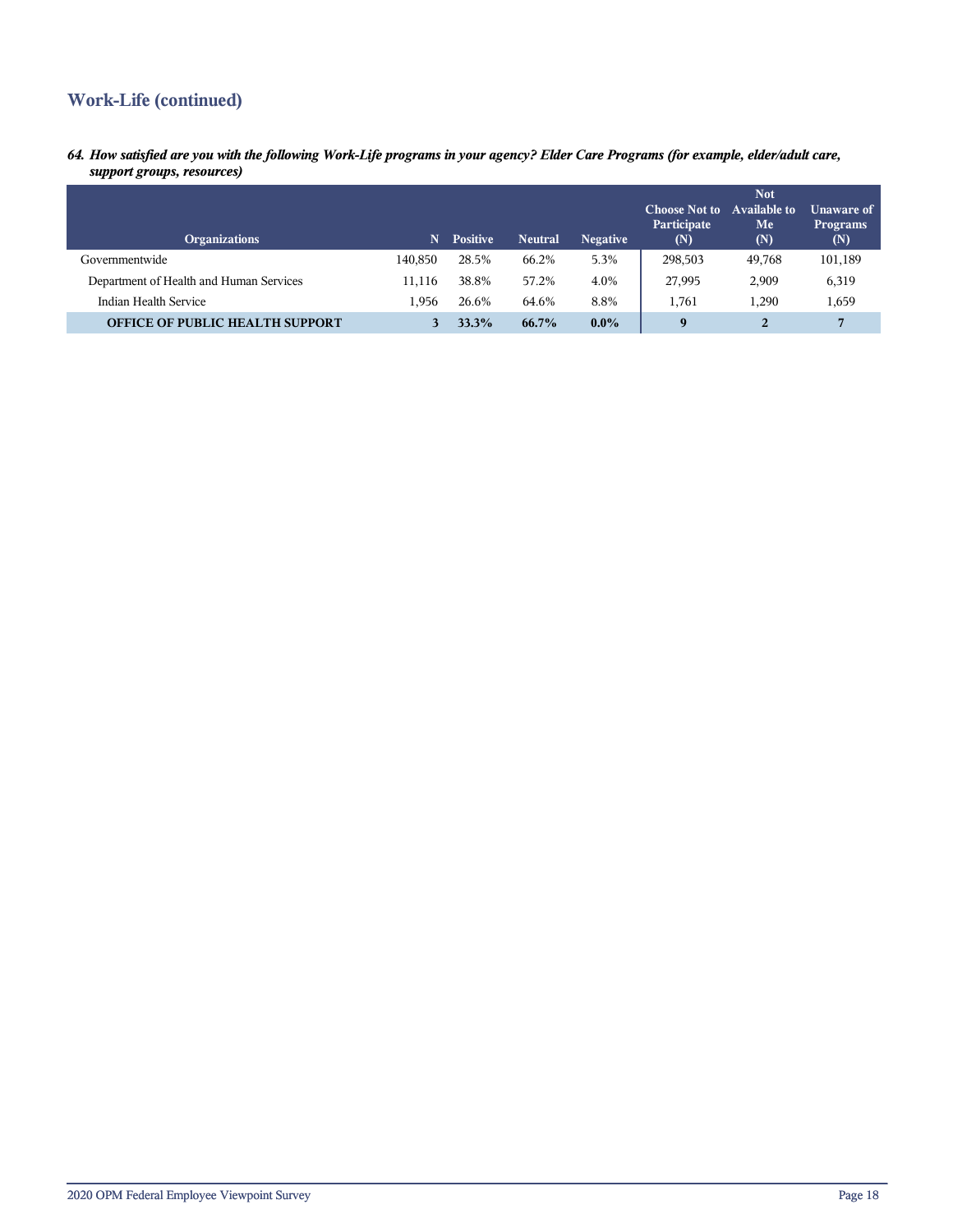## **Work-Life (continued)**

*64. How satisfied are you with the following Work-Life programs in your agency? Elder Care Programs (for example, elder/adult care, support groups, resources)*

| <b>Organizations</b>                    | N       | <b>Positive</b> | <b>Neutral</b> | <b>Negative</b> | <b>Choose Not to</b><br>Participate<br>(N) | <b>Not</b><br>Available to<br>Me<br>(N) | Unaware of<br><b>Programs</b><br>(N) |
|-----------------------------------------|---------|-----------------|----------------|-----------------|--------------------------------------------|-----------------------------------------|--------------------------------------|
| Governmentwide                          | 140.850 | 28.5%           | 66.2%          | 5.3%            | 298,503                                    | 49,768                                  | 101,189                              |
| Department of Health and Human Services | 11.116  | 38.8%           | 57.2%          | 4.0%            | 27,995                                     | 2,909                                   | 6,319                                |
| Indian Health Service                   | l.956   | 26.6%           | 64.6%          | 8.8%            | 1.761                                      | 1,290                                   | 1,659                                |
| <b>OFFICE OF PUBLIC HEALTH SUPPORT</b>  |         | 33.3%           | $66.7\%$       | $0.0\%$         | 9                                          | 2                                       | 7                                    |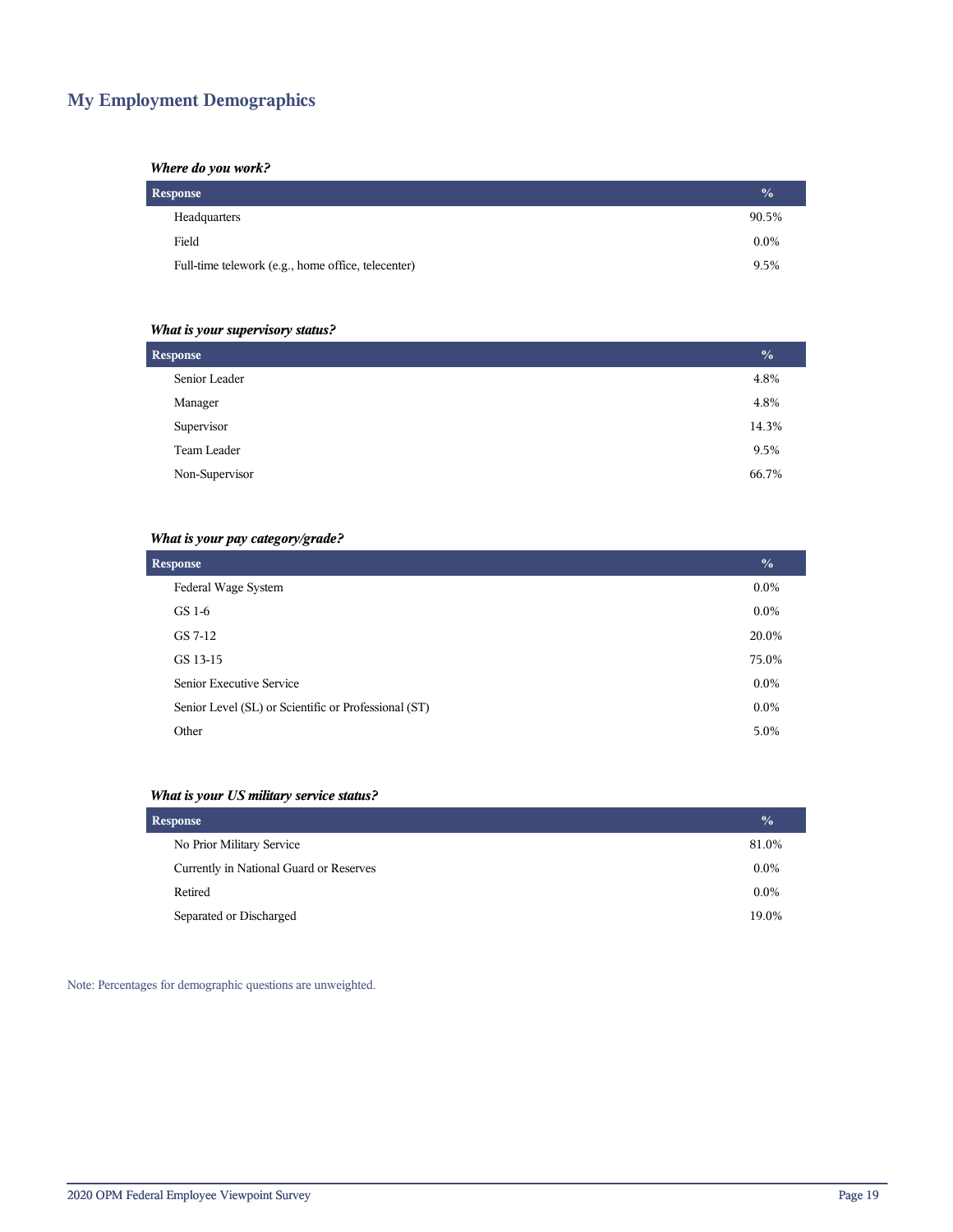## **My Employment Demographics**

#### *Where do you work?*

| Response                                           |         |
|----------------------------------------------------|---------|
| Headquarters                                       | 90.5%   |
| Field                                              | $0.0\%$ |
| Full-time telework (e.g., home office, telecenter) | 9.5%    |

#### *What is your supervisory status?*

| <b>Response</b> |       |  |
|-----------------|-------|--|
| Senior Leader   | 4.8%  |  |
| Manager         | 4.8%  |  |
| Supervisor      | 14.3% |  |
| Team Leader     | 9.5%  |  |
| Non-Supervisor  | 66.7% |  |
|                 |       |  |

#### *What is your pay category/grade?*

| <b>Response</b>                                      | $\frac{0}{0}$ |
|------------------------------------------------------|---------------|
| Federal Wage System                                  | $0.0\%$       |
| GS 1-6                                               | $0.0\%$       |
| GS 7-12                                              | 20.0%         |
| GS 13-15                                             | 75.0%         |
| Senior Executive Service                             | $0.0\%$       |
| Senior Level (SL) or Scientific or Professional (ST) | $0.0\%$       |
| Other                                                | 5.0%          |

#### *What is your US military service status?*

| <b>Response</b>                         |         |
|-----------------------------------------|---------|
| No Prior Military Service               | 81.0%   |
| Currently in National Guard or Reserves | $0.0\%$ |
| Retired                                 | $0.0\%$ |
| Separated or Discharged                 | 19.0%   |

Note: Percentages for demographic questions are unweighted.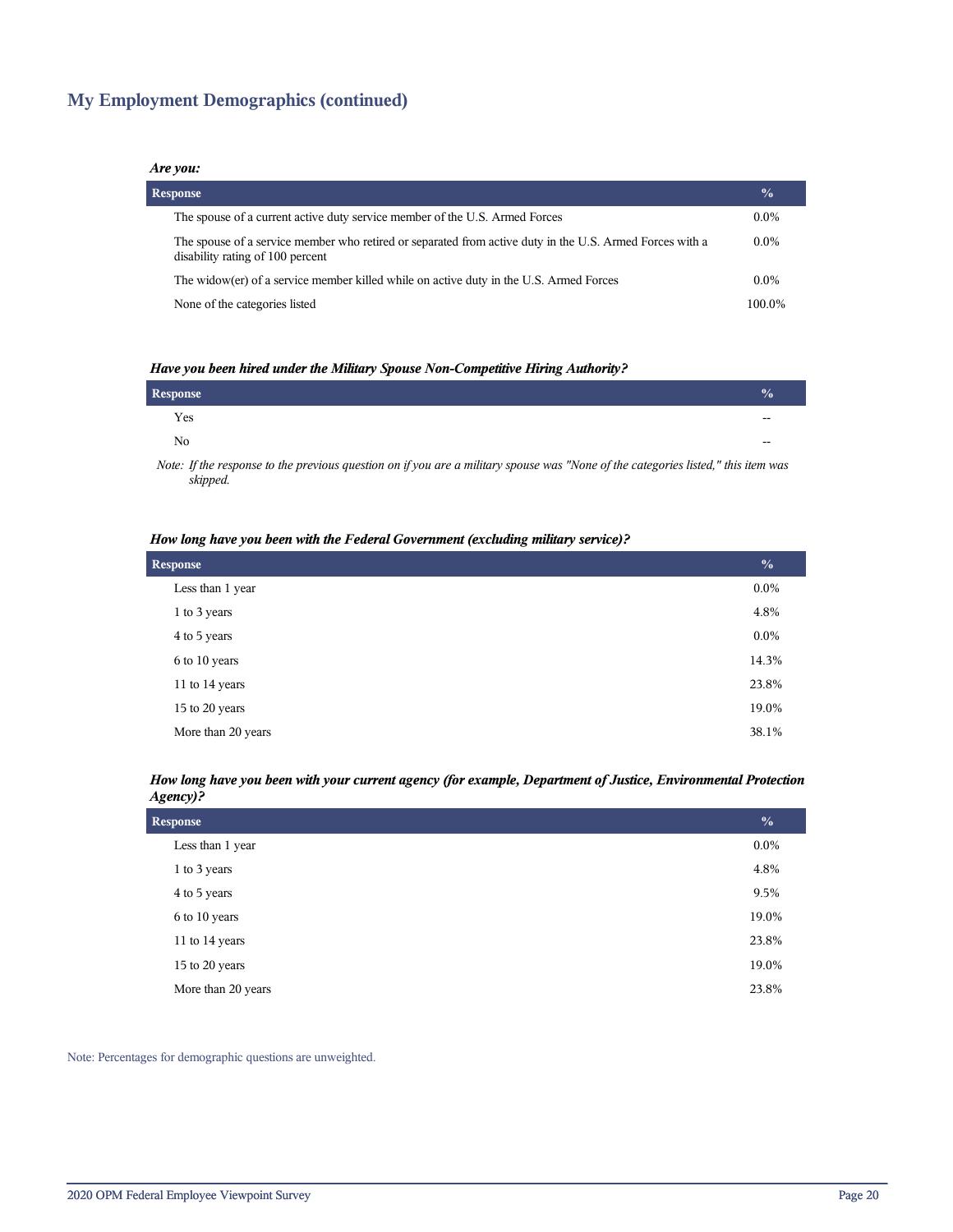## **My Employment Demographics (continued)**

#### *Are you:*

| <b>Response</b>                                                                                                                              | $\frac{0}{0}$ |
|----------------------------------------------------------------------------------------------------------------------------------------------|---------------|
| The spouse of a current active duty service member of the U.S. Armed Forces                                                                  | $0.0\%$       |
| The spouse of a service member who retired or separated from active duty in the U.S. Armed Forces with a<br>disability rating of 100 percent | $0.0\%$       |
| The widow(er) of a service member killed while on active duty in the U.S. Armed Forces                                                       | $0.0\%$       |
| None of the categories listed                                                                                                                | 100.0%        |

#### *Have you been hired under the Military Spouse Non-Competitive Hiring Authority?*

| Response       |       |
|----------------|-------|
| Yes            | $- -$ |
| N <sub>0</sub> | $- -$ |
|                |       |

*Note: If the response to the previous question on if you are a military spouse was "None of the categories listed," this item was skipped.*

#### *How long have you been with the Federal Government (excluding military service)?*

| <b>Response</b>    | $\frac{0}{0}$ |
|--------------------|---------------|
| Less than 1 year   | $0.0\%$       |
| 1 to 3 years       | 4.8%          |
| 4 to 5 years       | $0.0\%$       |
| 6 to 10 years      | 14.3%         |
| 11 to 14 years     | 23.8%         |
| 15 to 20 years     | 19.0%         |
| More than 20 years | 38.1%         |

#### *How long have you been with your current agency (for example, Department of Justice, Environmental Protection Agency)?*

| <b>Response</b>    | $\frac{0}{0}$ |
|--------------------|---------------|
| Less than 1 year   | $0.0\%$       |
| 1 to 3 years       | 4.8%          |
| 4 to 5 years       | 9.5%          |
| 6 to 10 years      | 19.0%         |
| 11 to 14 years     | 23.8%         |
| 15 to 20 years     | 19.0%         |
| More than 20 years | 23.8%         |

Note: Percentages for demographic questions are unweighted.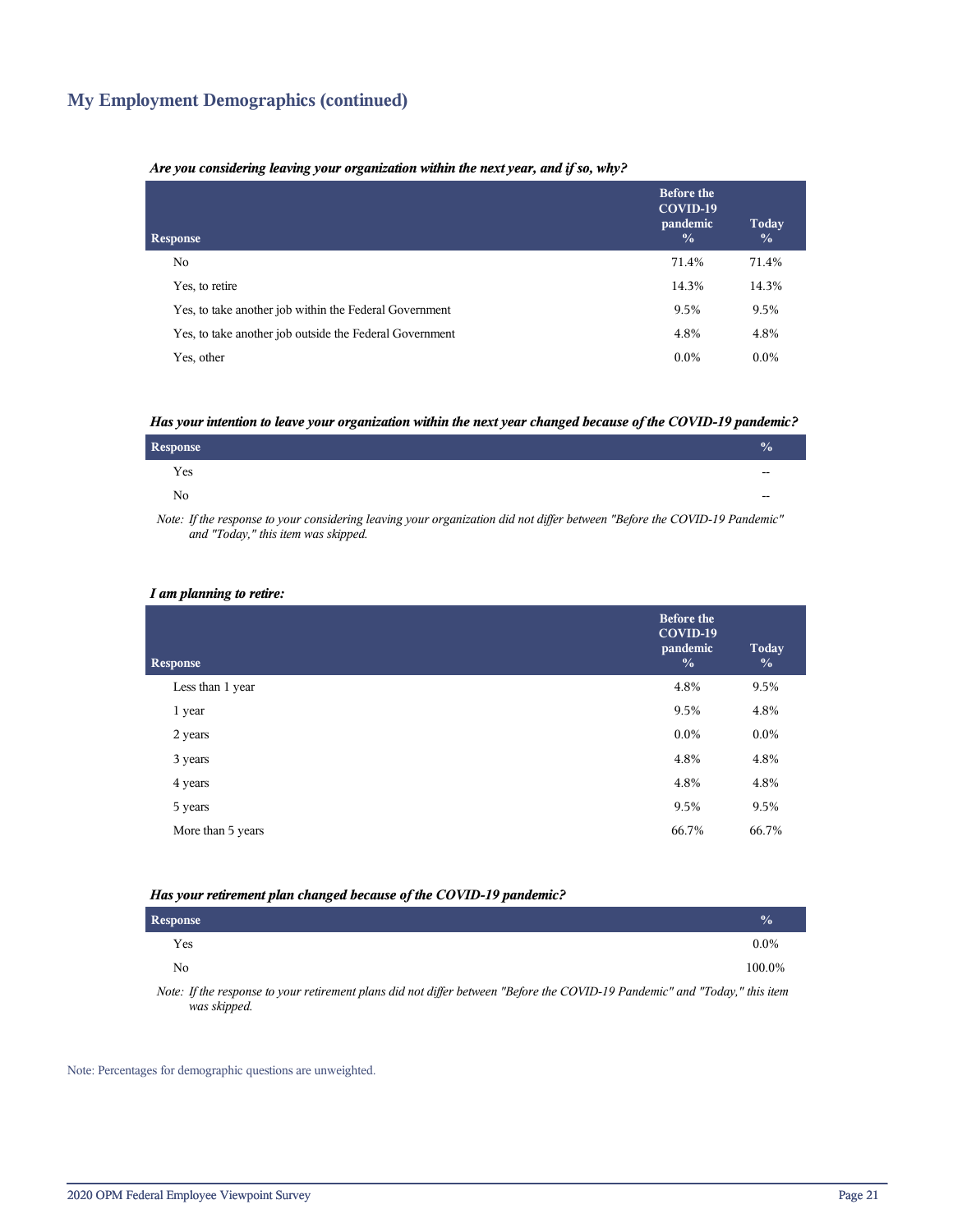## **My Employment Demographics (continued)**

#### *Are you considering leaving your organization within the next year, and if so, why?*

| <b>Response</b>                                         | <b>Before the</b><br>COVID-19<br>pandemic<br>$\frac{0}{0}$ | Today<br>$\frac{0}{0}$ |
|---------------------------------------------------------|------------------------------------------------------------|------------------------|
| No.                                                     | 71.4%                                                      | 71.4%                  |
| Yes, to retire                                          | 14.3%                                                      | 14.3%                  |
| Yes, to take another job within the Federal Government  | 9.5%                                                       | 9.5%                   |
| Yes, to take another job outside the Federal Government | 4.8%                                                       | 4.8%                   |
| Yes, other                                              | $0.0\%$                                                    | $0.0\%$                |

#### *Has your intention to leave your organization within the next year changed because of the COVID-19 pandemic?*

| Response | $\mathbf{v}_0$           |
|----------|--------------------------|
| Yes      | $\overline{\phantom{a}}$ |
| No       | $\overline{\phantom{a}}$ |
|          |                          |

*Note: If the response to your considering leaving your organization did not differ between "Before the COVID-19 Pandemic" and "Today," this item was skipped.*

#### *I am planning to retire:*

| <b>Response</b>   | <b>Before the</b><br>COVID-19<br>pandemic<br>$\frac{0}{0}$ | <b>Today</b><br>$\frac{0}{0}$ |
|-------------------|------------------------------------------------------------|-------------------------------|
| Less than 1 year  | 4.8%                                                       | 9.5%                          |
| 1 year            | 9.5%                                                       | 4.8%                          |
| 2 years           | $0.0\%$                                                    | $0.0\%$                       |
| 3 years           | 4.8%                                                       | 4.8%                          |
| 4 years           | 4.8%                                                       | 4.8%                          |
| 5 years           | 9.5%                                                       | 9.5%                          |
| More than 5 years | 66.7%                                                      | 66.7%                         |
|                   |                                                            |                               |

#### *Has your retirement plan changed because of the COVID-19 pandemic?*

| Response                                                                                                                      | $\sqrt{2}$ |
|-------------------------------------------------------------------------------------------------------------------------------|------------|
| Yes                                                                                                                           | $0.0\%$    |
| No                                                                                                                            | 100.0%     |
| Mater Hilly non root to communicate and along Hill and HPan bakengan HD afang the COMD 10 Day Jami'all and HTs Jam Hilly itam |            |

*Note: If the response to your retirement plans did not differ between "Before the COVID-19 Pandemic" and "Today," this item was skipped.*

Note: Percentages for demographic questions are unweighted.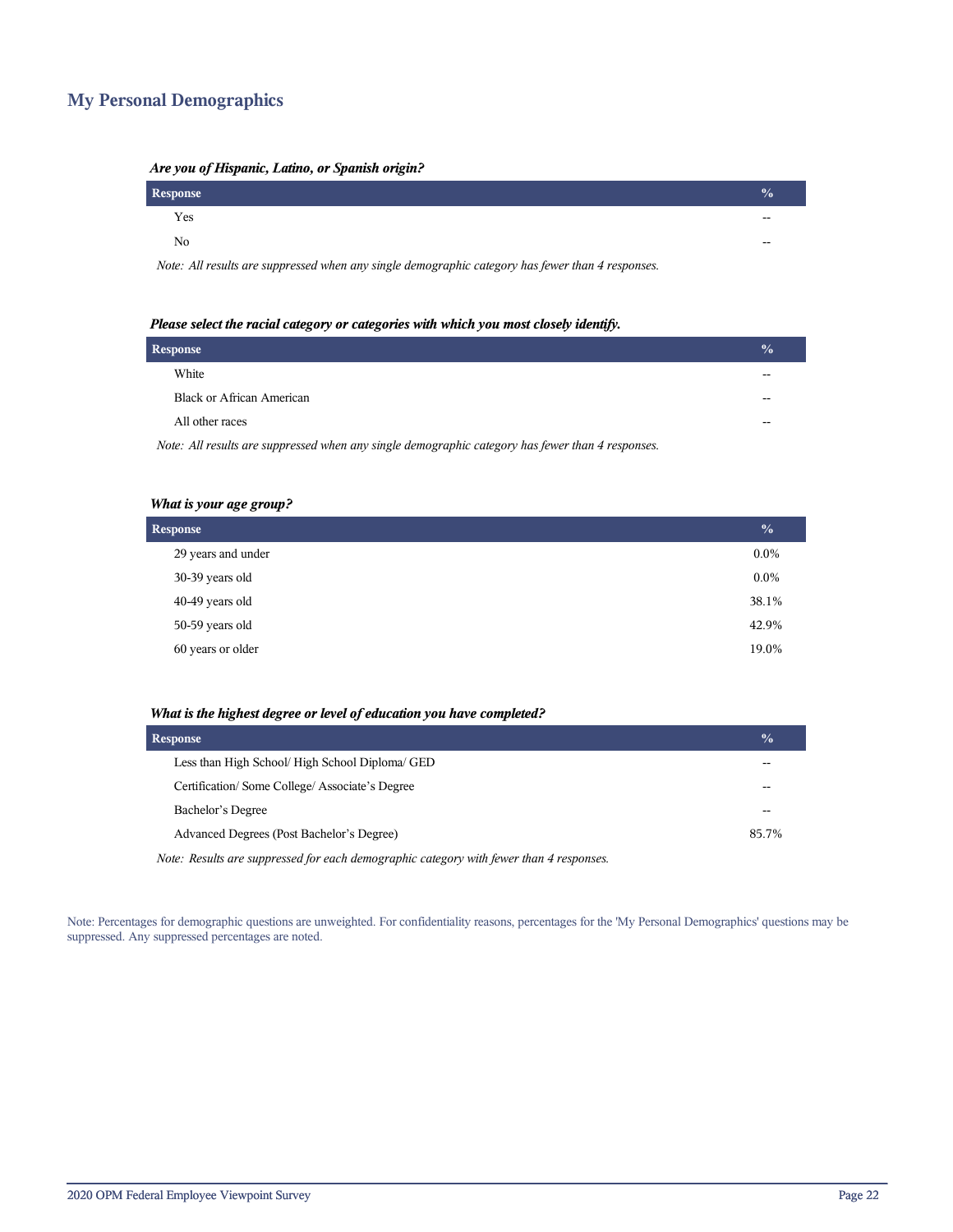## **My Personal Demographics**

| ni e you of mopulacy manor of spaniole origin.                                                    |               |
|---------------------------------------------------------------------------------------------------|---------------|
| Response                                                                                          | $\frac{0}{0}$ |
| Yes                                                                                               | $- -$         |
| No                                                                                                | $- -$         |
| Note: All requite are aunomaged when any girals damagementic extraory has found than A recognoses |               |

#### *Are you of Hispanic, Latino, or Spanish origin?*

*Note: All results are suppressed when any single demographic category has fewer than 4 responses.*

| Please select the racial category or categories with which you most closely identify. |  |  |
|---------------------------------------------------------------------------------------|--|--|
|                                                                                       |  |  |

| <b>Response</b>                                                                                   | $\sqrt{0}$ |
|---------------------------------------------------------------------------------------------------|------------|
| White                                                                                             |            |
| <b>Black or African American</b>                                                                  |            |
| All other races                                                                                   |            |
| Note: All results are suppressed when any single demographic category has fewer than 4 responses. |            |

*What is your age group?*

| <b>Response</b>    | $\overline{\mathbf{0}}_{0}$ |
|--------------------|-----------------------------|
|                    |                             |
| 29 years and under | $0.0\%$                     |
| 30-39 years old    | $0.0\%$                     |
| 40-49 years old    | 38.1%                       |
| 50-59 years old    | 42.9%                       |
| 60 years or older  | 19.0%                       |

#### *What is the highest degree or level of education you have completed?*

| <b>Response</b>                                                                         | $\frac{0}{0}$ |
|-----------------------------------------------------------------------------------------|---------------|
| Less than High School/ High School Diploma/ GED                                         | --            |
| Certification/Some College/Associate's Degree                                           |               |
| Bachelor's Degree                                                                       | --            |
| Advanced Degrees (Post Bachelor's Degree)                                               | 85.7%         |
| Note: Results are suppressed for each demographic category with fewer than 4 responses. |               |

Note: Percentages for demographic questions are unweighted. For confidentiality reasons, percentages for the 'My Personal Demographics' questions may be suppressed. Any suppressed percentages are noted.